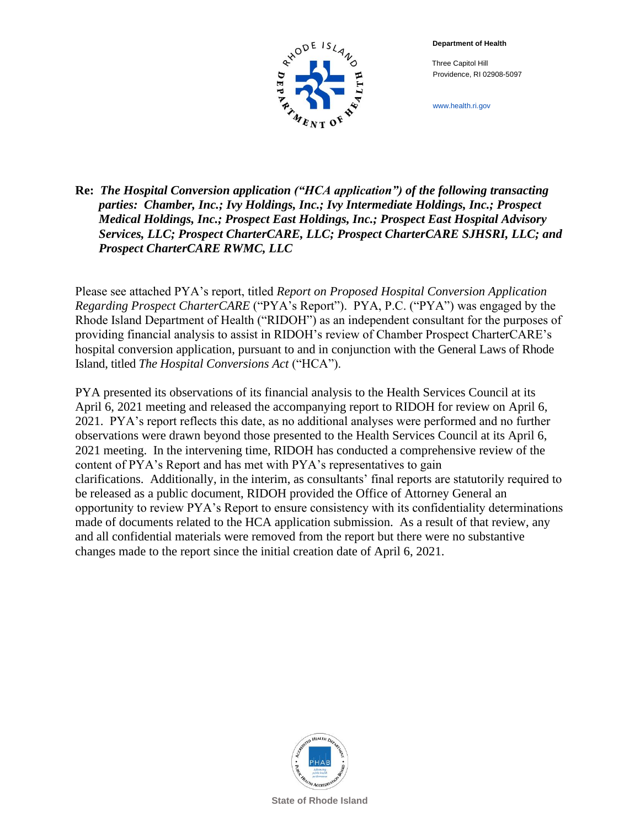**Department of Health**

 Three Capitol Hill Providence, RI 02908-5097



www.health.ri.gov

### **Re:** *The Hospital Conversion application ("HCA application") of the following transacting parties: Chamber, Inc.; Ivy Holdings, Inc.; Ivy Intermediate Holdings, Inc.; Prospect Medical Holdings, Inc.; Prospect East Holdings, Inc.; Prospect East Hospital Advisory Services, LLC; Prospect CharterCARE, LLC; Prospect CharterCARE SJHSRI, LLC; and Prospect CharterCARE RWMC, LLC*

Please see attached PYA's report, titled *Report on Proposed Hospital Conversion Application Regarding Prospect CharterCARE* ("PYA's Report"). PYA, P.C. ("PYA") was engaged by the Rhode Island Department of Health ("RIDOH") as an independent consultant for the purposes of providing financial analysis to assist in RIDOH's review of Chamber Prospect CharterCARE's hospital conversion application, pursuant to and in conjunction with the General Laws of Rhode Island, titled *The Hospital Conversions Act* ("HCA").

PYA presented its observations of its financial analysis to the Health Services Council at its April 6, 2021 meeting and released the accompanying report to RIDOH for review on April 6, 2021. PYA's report reflects this date, as no additional analyses were performed and no further observations were drawn beyond those presented to the Health Services Council at its April 6, 2021 meeting. In the intervening time, RIDOH has conducted a comprehensive review of the content of PYA's Report and has met with PYA's representatives to gain clarifications. Additionally, in the interim, as consultants' final reports are statutorily required to be released as a public document, RIDOH provided the Office of Attorney General an opportunity to review PYA's Report to ensure consistency with its confidentiality determinations made of documents related to the HCA application submission. As a result of that review, any and all confidential materials were removed from the report but there were no substantive changes made to the report since the initial creation date of April 6, 2021.



**State of Rhode Island**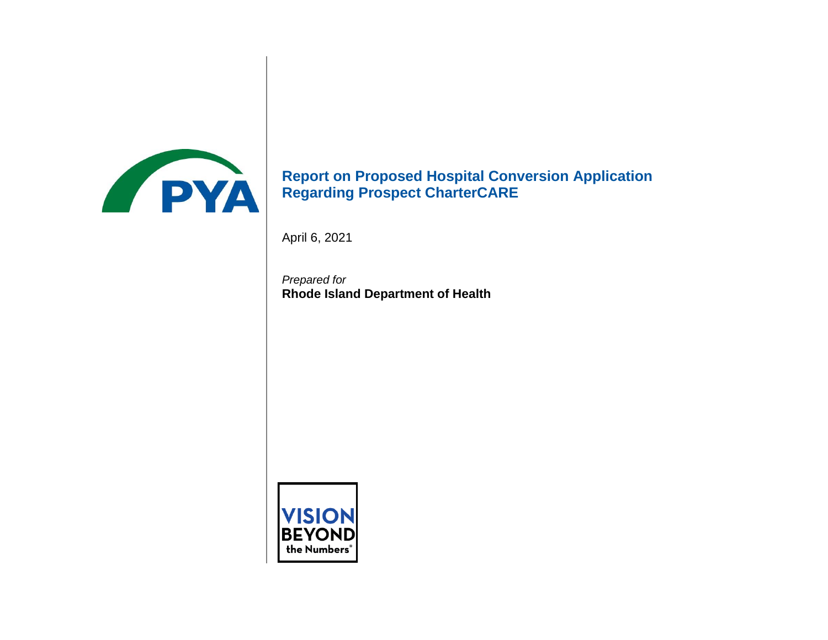

# **Report on Proposed Hospital Conversion Application Regarding Prospect CharterCARE**

April 6, 2021

*Prepared for* **Rhode Island Department of Health**

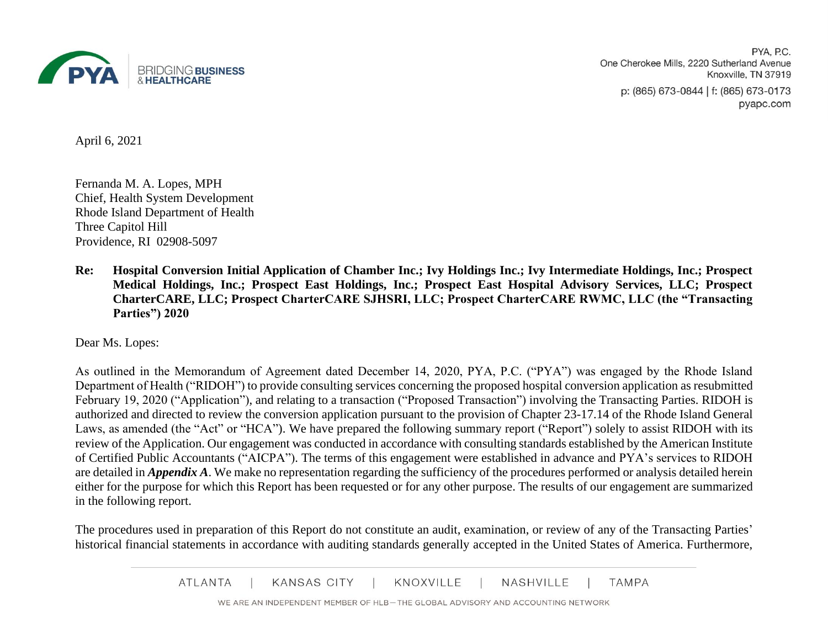

PYA, P.C. One Cherokee Mills, 2220 Sutherland Avenue Knoxville, TN 37919 p: (865) 673-0844 | f: (865) 673-0173 pyapc.com

April 6, 2021

Fernanda M. A. Lopes, MPH Chief, Health System Development Rhode Island Department of Health Three Capitol Hill Providence, RI 02908-5097

**Re: Hospital Conversion Initial Application of Chamber Inc.; Ivy Holdings Inc.; Ivy Intermediate Holdings, Inc.; Prospect Medical Holdings, Inc.; Prospect East Holdings, Inc.; Prospect East Hospital Advisory Services, LLC; Prospect CharterCARE, LLC; Prospect CharterCARE SJHSRI, LLC; Prospect CharterCARE RWMC, LLC (the "Transacting Parties") 2020**

Dear Ms. Lopes:

As outlined in the Memorandum of Agreement dated December 14, 2020, PYA, P.C. ("PYA") was engaged by the Rhode Island Department of Health ("RIDOH") to provide consulting services concerning the proposed hospital conversion application as resubmitted February 19, 2020 ("Application"), and relating to a transaction ("Proposed Transaction") involving the Transacting Parties. RIDOH is authorized and directed to review the conversion application pursuant to the provision of Chapter 23-17.14 of the Rhode Island General Laws, as amended (the "Act" or "HCA"). We have prepared the following summary report ("Report") solely to assist RIDOH with its review of the Application. Our engagement was conducted in accordance with consulting standards established by the American Institute of Certified Public Accountants ("AICPA"). The terms of this engagement were established in advance and PYA's services to RIDOH are detailed in *Appendix A*. We make no representation regarding the sufficiency of the procedures performed or analysis detailed herein either for the purpose for which this Report has been requested or for any other purpose. The results of our engagement are summarized in the following report.

The procedures used in preparation of this Report do not constitute an audit, examination, or review of any of the Transacting Parties' historical financial statements in accordance with auditing standards generally accepted in the United States of America. Furthermore,

> KNOXVILLE **ATLANTA KANSAS CITY NASHVILLE TAMPA**

WE ARE AN INDEPENDENT MEMBER OF HLB-THE GLOBAL ADVISORY AND ACCOUNTING NETWORK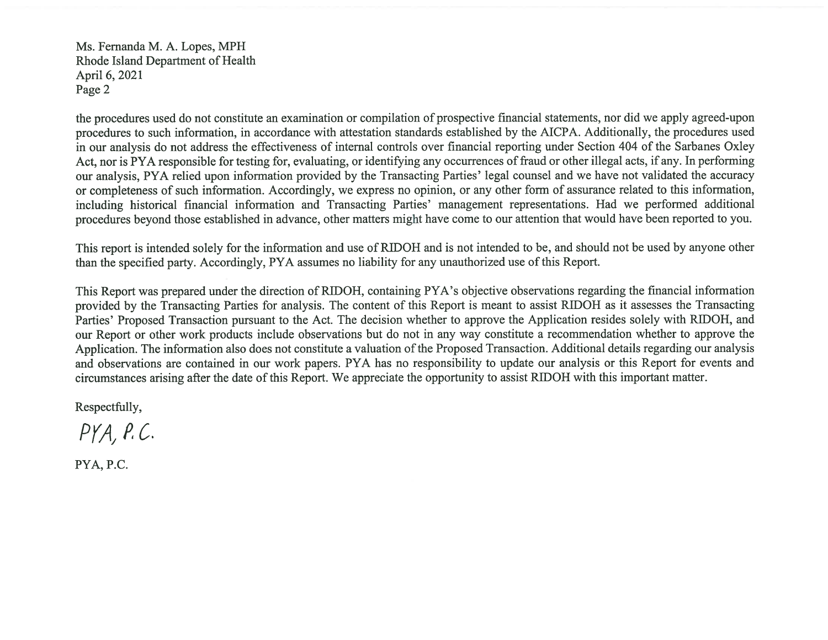Ms. Fernanda M. A. Lopes, MPH Rhode Island Department of Health April 6, 2021 Page 2

the procedures used do not constitute an examination or compilation of prospective financial statements, nor did we apply agreed-upon procedures to such information, in accordance with attestation standards established by the AICPA. Additionally, the procedures used in our analysis do not address the effectiveness of internal controls over financial reporting under Section 404 of the Sarbanes Oxley Act, nor is PYA responsible for testing for, evaluating, or identifying any occurrences of fraud or other illegal acts, if any. In performing our analysis, PYA relied upon information provided by the Transacting Parties' legal counsel and we have not validated the accuracy or completeness of such information. Accordingly, we express no opinion, or any other form of assurance related to this information, including historical financial information and Transacting Parties' management representations. Had we performed additional procedures beyond those established in advance, other matters might have come to our attention that would have been reported to you.

This report is intended solely for the information and use of RIDOH and is not intended to be, and should not be used by anyone other than the specified party. Accordingly, PYA assumes no liability for any unauthorized use of this Report.

This Report was prepared under the direction of RIDOH, containing PYA's objective observations regarding the financial information provided by the Transacting Parties for analysis. The content of this Report is meant to assist RIDOH as it assesses the Transacting Parties' Proposed Transaction pursuant to the Act. The decision whether to approve the Application resides solely with RIDOH, and our Report or other work products include observations but do not in any way constitute a recommendation whether to approve the Application. The information also does not constitute a valuation of the Proposed Transaction. Additional details regarding our analysis and observations are contained in our work papers. PYA has no responsibility to update our analysis or this Report for events and circumstances arising after the date of this Report. We appreciate the opportunity to assist RIDOH with this important matter.

Respectfully,

 $PYA, P.C.$ 

PYA, P.C.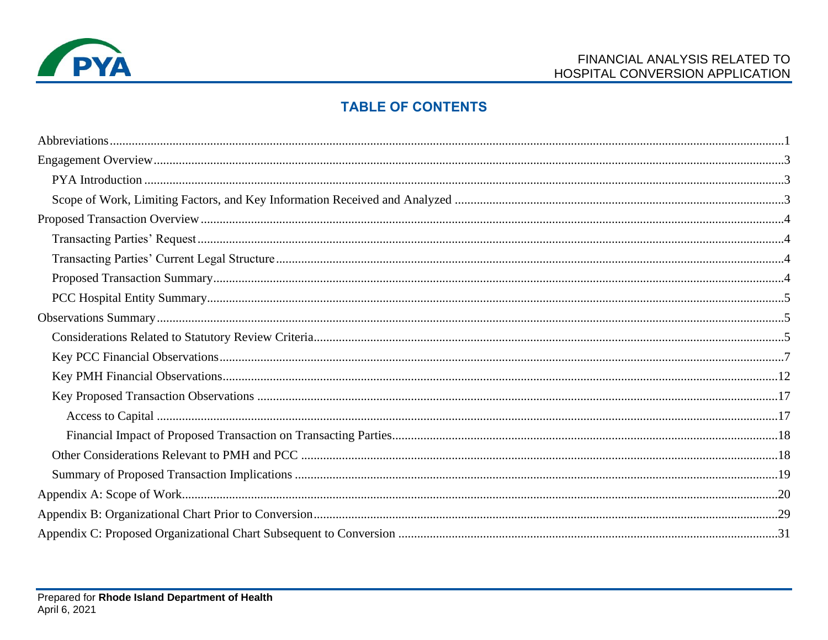

## **TABLE OF CONTENTS**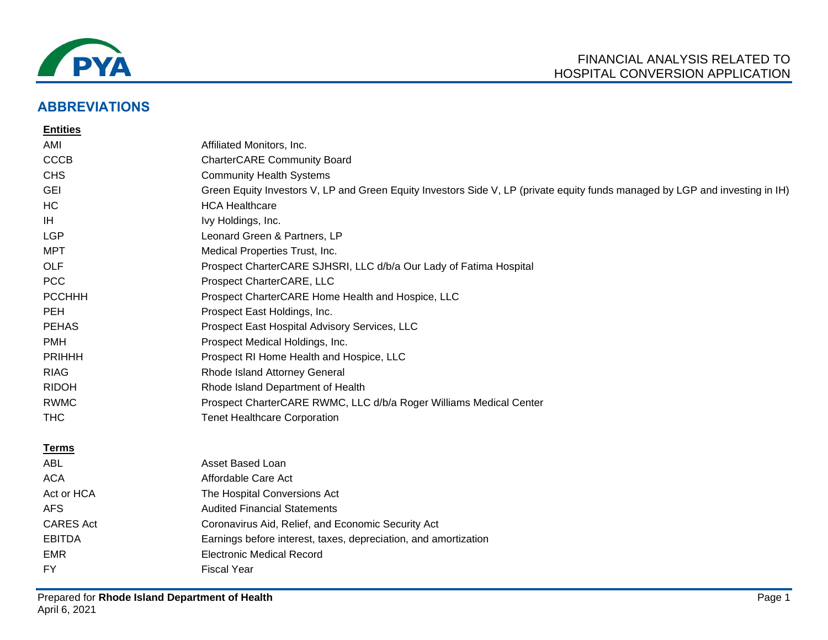

## **ABBREVIATIONS**

| <b>Entities</b>  |                                                                                                                              |
|------------------|------------------------------------------------------------------------------------------------------------------------------|
| AMI              | Affiliated Monitors, Inc.                                                                                                    |
| <b>CCCB</b>      | <b>CharterCARE Community Board</b>                                                                                           |
| <b>CHS</b>       | <b>Community Health Systems</b>                                                                                              |
| <b>GEI</b>       | Green Equity Investors V, LP and Green Equity Investors Side V, LP (private equity funds managed by LGP and investing in IH) |
| HC               | <b>HCA Healthcare</b>                                                                                                        |
| IH               | Ivy Holdings, Inc.                                                                                                           |
| <b>LGP</b>       | Leonard Green & Partners, LP                                                                                                 |
| MPT              | Medical Properties Trust, Inc.                                                                                               |
| <b>OLF</b>       | Prospect CharterCARE SJHSRI, LLC d/b/a Our Lady of Fatima Hospital                                                           |
| <b>PCC</b>       | Prospect CharterCARE, LLC                                                                                                    |
| <b>PCCHHH</b>    | Prospect CharterCARE Home Health and Hospice, LLC                                                                            |
| <b>PEH</b>       | Prospect East Holdings, Inc.                                                                                                 |
| <b>PEHAS</b>     | Prospect East Hospital Advisory Services, LLC                                                                                |
| <b>PMH</b>       | Prospect Medical Holdings, Inc.                                                                                              |
| <b>PRIHHH</b>    | Prospect RI Home Health and Hospice, LLC                                                                                     |
| <b>RIAG</b>      | Rhode Island Attorney General                                                                                                |
| <b>RIDOH</b>     | Rhode Island Department of Health                                                                                            |
| <b>RWMC</b>      | Prospect CharterCARE RWMC, LLC d/b/a Roger Williams Medical Center                                                           |
| <b>THC</b>       | <b>Tenet Healthcare Corporation</b>                                                                                          |
| <u>Terms</u>     |                                                                                                                              |
| <b>ABL</b>       | Asset Based Loan                                                                                                             |
| <b>ACA</b>       | Affordable Care Act                                                                                                          |
| Act or HCA       | The Hospital Conversions Act                                                                                                 |
| <b>AFS</b>       | <b>Audited Financial Statements</b>                                                                                          |
| <b>CARES Act</b> | Coronavirus Aid, Relief, and Economic Security Act                                                                           |
| <b>EBITDA</b>    | Earnings before interest, taxes, depreciation, and amortization                                                              |

- EMR Electronic Medical Record
- FY Fiscal Year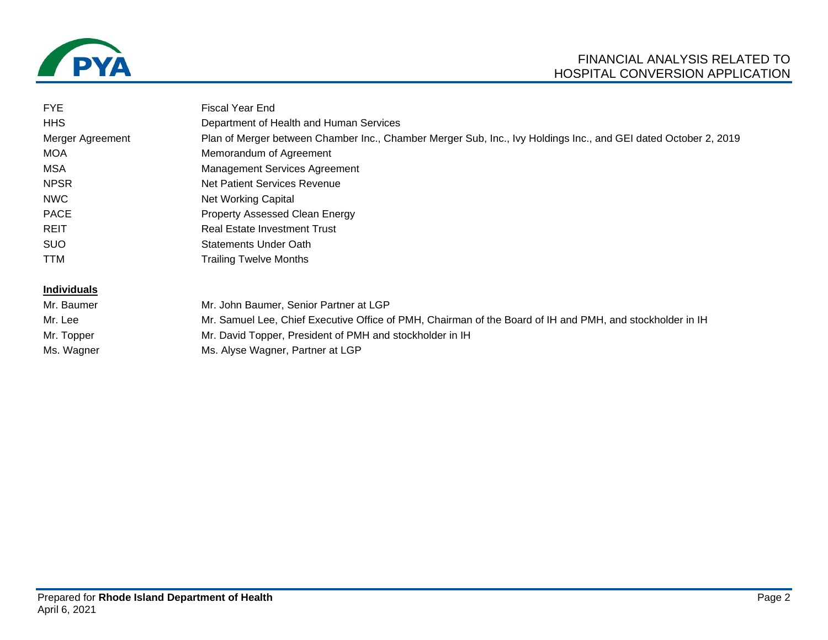

| <b>FYE</b>         | <b>Fiscal Year End</b>                                                                                          |
|--------------------|-----------------------------------------------------------------------------------------------------------------|
| <b>HHS</b>         | Department of Health and Human Services                                                                         |
| Merger Agreement   | Plan of Merger between Chamber Inc., Chamber Merger Sub, Inc., Ivy Holdings Inc., and GEI dated October 2, 2019 |
| <b>MOA</b>         | Memorandum of Agreement                                                                                         |
| MSA                | <b>Management Services Agreement</b>                                                                            |
| <b>NPSR</b>        | Net Patient Services Revenue                                                                                    |
| <b>NWC</b>         | Net Working Capital                                                                                             |
| <b>PACE</b>        | Property Assessed Clean Energy                                                                                  |
| <b>REIT</b>        | <b>Real Estate Investment Trust</b>                                                                             |
| <b>SUO</b>         | Statements Under Oath                                                                                           |
| <b>TTM</b>         | <b>Trailing Twelve Months</b>                                                                                   |
| <b>Individuals</b> |                                                                                                                 |
| Mr. Baumer         | Mr. John Baumer, Senior Partner at LGP                                                                          |
| Mr. Lee            | Mr. Samuel Lee, Chief Executive Office of PMH, Chairman of the Board of IH and PMH, and stockholder in IH       |
| Mr. Topper         | Mr. David Topper, President of PMH and stockholder in IH                                                        |
| Ms. Wagner         | Ms. Alyse Wagner, Partner at LGP                                                                                |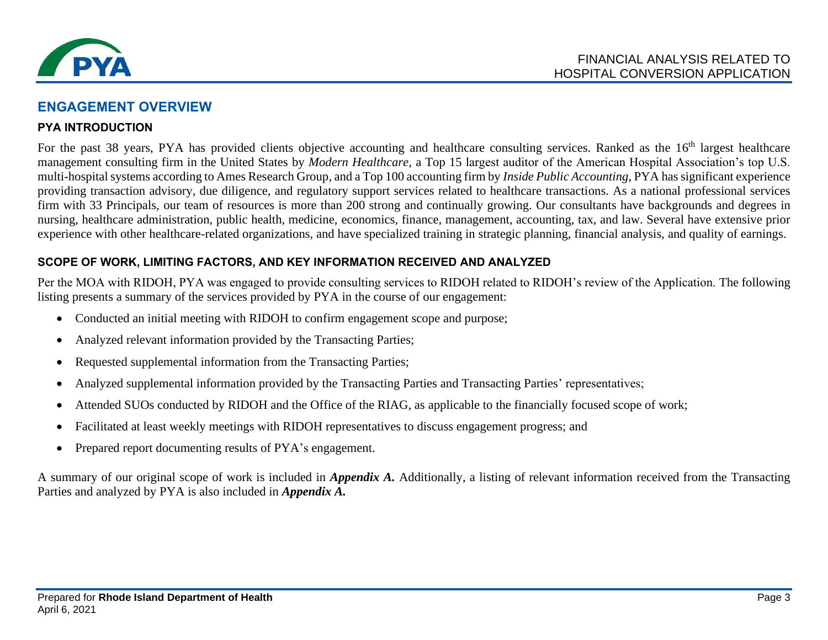

## **ENGAGEMENT OVERVIEW**

### **PYA INTRODUCTION**

For the past 38 years, PYA has provided clients objective accounting and healthcare consulting services. Ranked as the 16<sup>th</sup> largest healthcare management consulting firm in the United States by *Modern Healthcare*, a Top 15 largest auditor of the American Hospital Association's top U.S. multi-hospital systems according to Ames Research Group, and a Top 100 accounting firm by *Inside Public Accounting*, PYA has significant experience providing transaction advisory, due diligence, and regulatory support services related to healthcare transactions. As a national professional services firm with 33 Principals, our team of resources is more than 200 strong and continually growing. Our consultants have backgrounds and degrees in nursing, healthcare administration, public health, medicine, economics, finance, management, accounting, tax, and law. Several have extensive prior experience with other healthcare-related organizations, and have specialized training in strategic planning, financial analysis, and quality of earnings.

### **SCOPE OF WORK, LIMITING FACTORS, AND KEY INFORMATION RECEIVED AND ANALYZED**

Per the MOA with RIDOH, PYA was engaged to provide consulting services to RIDOH related to RIDOH's review of the Application. The following listing presents a summary of the services provided by PYA in the course of our engagement:

- Conducted an initial meeting with RIDOH to confirm engagement scope and purpose;
- Analyzed relevant information provided by the Transacting Parties;
- Requested supplemental information from the Transacting Parties;
- Analyzed supplemental information provided by the Transacting Parties and Transacting Parties' representatives;
- Attended SUOs conducted by RIDOH and the Office of the RIAG, as applicable to the financially focused scope of work;
- Facilitated at least weekly meetings with RIDOH representatives to discuss engagement progress; and
- Prepared report documenting results of PYA's engagement.

A summary of our original scope of work is included in *Appendix A.* Additionally, a listing of relevant information received from the Transacting Parties and analyzed by PYA is also included in *Appendix A.*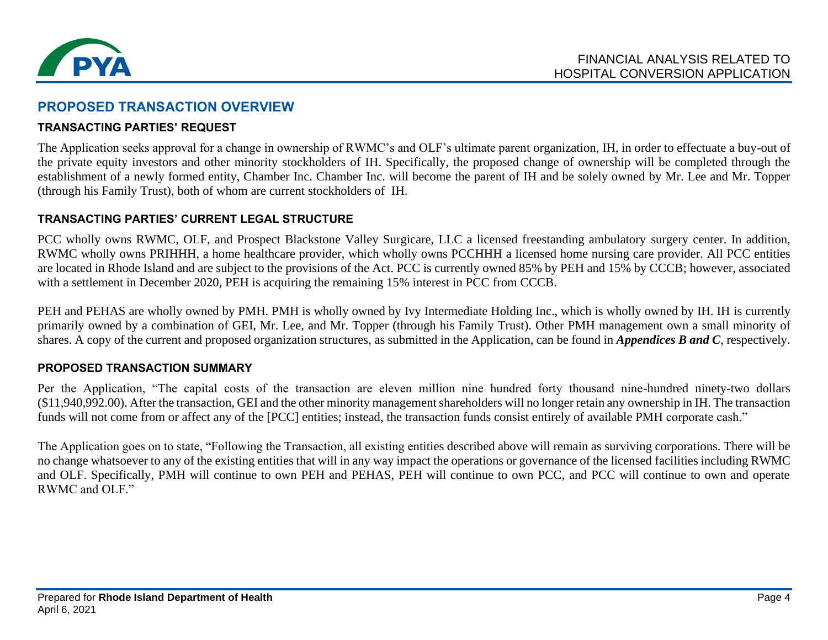

### **PROPOSED TRANSACTION OVERVIEW**

#### **TRANSACTING PARTIES' REQUEST**

The Application seeks approval for a change in ownership of RWMC's and OLF's ultimate parent organization, IH, in order to effectuate a buy-out of the private equity investors and other minority stockholders of IH. Specifically, the proposed change of ownership will be completed through the establishment of a newly formed entity, Chamber Inc. Chamber Inc. will become the parent of IH and be solely owned by Mr. Lee and Mr. Topper (through his Family Trust), both of whom are current stockholders of IH.

### **TRANSACTING PARTIES' CURRENT LEGAL STRUCTURE**

PCC wholly owns RWMC, OLF, and Prospect Blackstone Valley Surgicare, LLC a licensed freestanding ambulatory surgery center. In addition, RWMC wholly owns PRIHHH, a home healthcare provider, which wholly owns PCCHHH a licensed home nursing care provider. All PCC entities are located in Rhode Island and are subject to the provisions of the Act. PCC is currently owned 85% by PEH and 15% by CCCB; however, associated with a settlement in December 2020, PEH is acquiring the remaining 15% interest in PCC from CCCB.

PEH and PEHAS are wholly owned by PMH. PMH is wholly owned by Ivy Intermediate Holding Inc., which is wholly owned by IH. IH is currently primarily owned by a combination of GEI, Mr. Lee, and Mr. Topper (through his Family Trust). Other PMH management own a small minority of shares. A copy of the current and proposed organization structures, as submitted in the Application, can be found in *Appendices B and C*, respectively.

#### **PROPOSED TRANSACTION SUMMARY**

Per the Application, "The capital costs of the transaction are eleven million nine hundred forty thousand nine-hundred ninety-two dollars (\$11,940,992.00). After the transaction, GEI and the other minority management shareholders will no longer retain any ownership in IH. The transaction funds will not come from or affect any of the [PCC] entities; instead, the transaction funds consist entirely of available PMH corporate cash."

The Application goes on to state, "Following the Transaction, all existing entities described above will remain as surviving corporations. There will be no change whatsoever to any of the existing entities that will in any way impact the operations or governance of the licensed facilities including RWMC and OLF. Specifically, PMH will continue to own PEH and PEHAS, PEH will continue to own PCC, and PCC will continue to own and operate RWMC and OLF."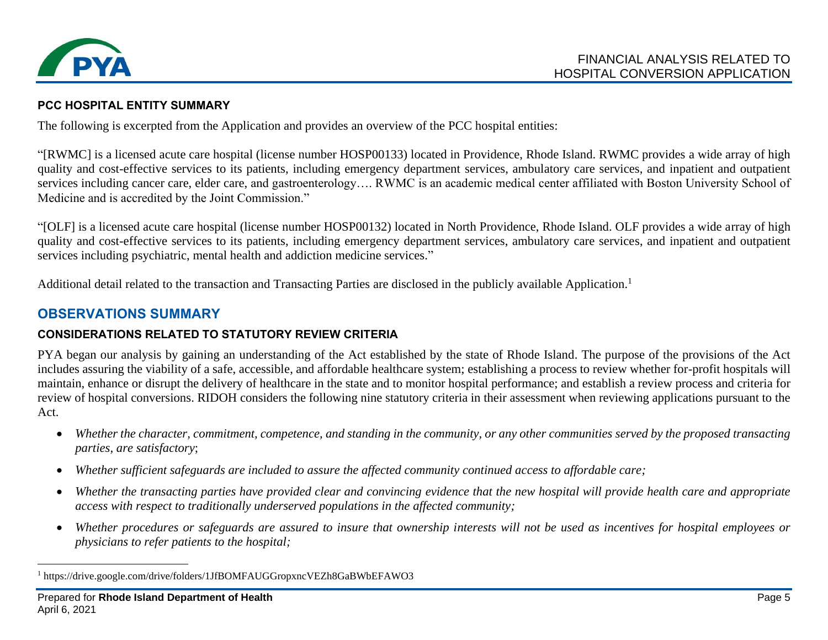

### **PCC HOSPITAL ENTITY SUMMARY**

The following is excerpted from the Application and provides an overview of the PCC hospital entities:

"[RWMC] is a licensed acute care hospital (license number HOSP00133) located in Providence, Rhode Island. RWMC provides a wide array of high quality and cost-effective services to its patients, including emergency department services, ambulatory care services, and inpatient and outpatient services including cancer care, elder care, and gastroenterology…. RWMC is an academic medical center affiliated with Boston University School of Medicine and is accredited by the Joint Commission."

"[OLF] is a licensed acute care hospital (license number HOSP00132) located in North Providence, Rhode Island. OLF provides a wide array of high quality and cost-effective services to its patients, including emergency department services, ambulatory care services, and inpatient and outpatient services including psychiatric, mental health and addiction medicine services."

Additional detail related to the transaction and Transacting Parties are disclosed in the publicly available Application.<sup>1</sup>

## **OBSERVATIONS SUMMARY**

### **CONSIDERATIONS RELATED TO STATUTORY REVIEW CRITERIA**

PYA began our analysis by gaining an understanding of the Act established by the state of Rhode Island. The purpose of the provisions of the Act includes assuring the viability of a safe, accessible, and affordable healthcare system; establishing a process to review whether for-profit hospitals will maintain, enhance or disrupt the delivery of healthcare in the state and to monitor hospital performance; and establish a review process and criteria for review of hospital conversions. RIDOH considers the following nine statutory criteria in their assessment when reviewing applications pursuant to the Act.

- *Whether the character, commitment, competence, and standing in the community, or any other communities served by the proposed transacting parties, are satisfactory*;
- *Whether sufficient safeguards are included to assure the affected community continued access to affordable care;*
- *Whether the transacting parties have provided clear and convincing evidence that the new hospital will provide health care and appropriate access with respect to traditionally underserved populations in the affected community;*
- *Whether procedures or safeguards are assured to insure that ownership interests will not be used as incentives for hospital employees or physicians to refer patients to the hospital;*

<sup>&</sup>lt;sup>1</sup> https://drive.google.com/drive/folders/1JfBOMFAUGGropxncVEZh8GaBWbEFAWO3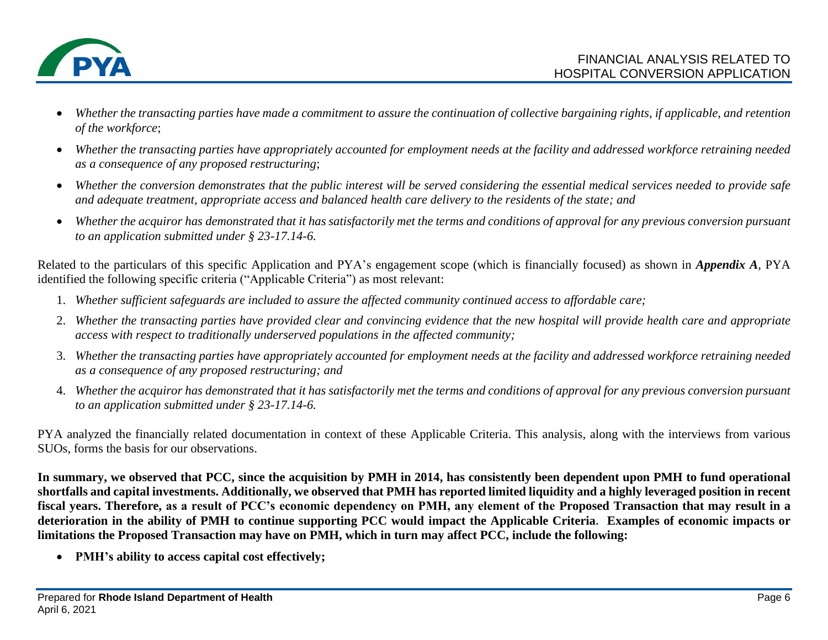

- *Whether the transacting parties have made a commitment to assure the continuation of collective bargaining rights, if applicable, and retention of the workforce*;
- *Whether the transacting parties have appropriately accounted for employment needs at the facility and addressed workforce retraining needed as a consequence of any proposed restructuring*;
- *Whether the conversion demonstrates that the public interest will be served considering the essential medical services needed to provide safe and adequate treatment, appropriate access and balanced health care delivery to the residents of the state; and*
- *Whether the acquiror has demonstrated that it has satisfactorily met the terms and conditions of approval for any previous conversion pursuant to an application submitted under § 23-17.14-6.*

Related to the particulars of this specific Application and PYA's engagement scope (which is financially focused) as shown in *Appendix A*, PYA identified the following specific criteria ("Applicable Criteria") as most relevant:

- 1. *Whether sufficient safeguards are included to assure the affected community continued access to affordable care;*
- 2. *Whether the transacting parties have provided clear and convincing evidence that the new hospital will provide health care and appropriate access with respect to traditionally underserved populations in the affected community;*
- 3. *Whether the transacting parties have appropriately accounted for employment needs at the facility and addressed workforce retraining needed as a consequence of any proposed restructuring; and*
- 4. *Whether the acquiror has demonstrated that it has satisfactorily met the terms and conditions of approval for any previous conversion pursuant to an application submitted under § 23-17.14-6.*

PYA analyzed the financially related documentation in context of these Applicable Criteria. This analysis, along with the interviews from various SUOs, forms the basis for our observations.

**In summary, we observed that PCC, since the acquisition by PMH in 2014, has consistently been dependent upon PMH to fund operational shortfalls and capital investments. Additionally, we observed that PMH has reported limited liquidity and a highly leveraged position in recent fiscal years. Therefore, as a result of PCC's economic dependency on PMH, any element of the Proposed Transaction that may result in a deterioration in the ability of PMH to continue supporting PCC would impact the Applicable Criteria. Examples of economic impacts or limitations the Proposed Transaction may have on PMH, which in turn may affect PCC, include the following:**

• **PMH's ability to access capital cost effectively;**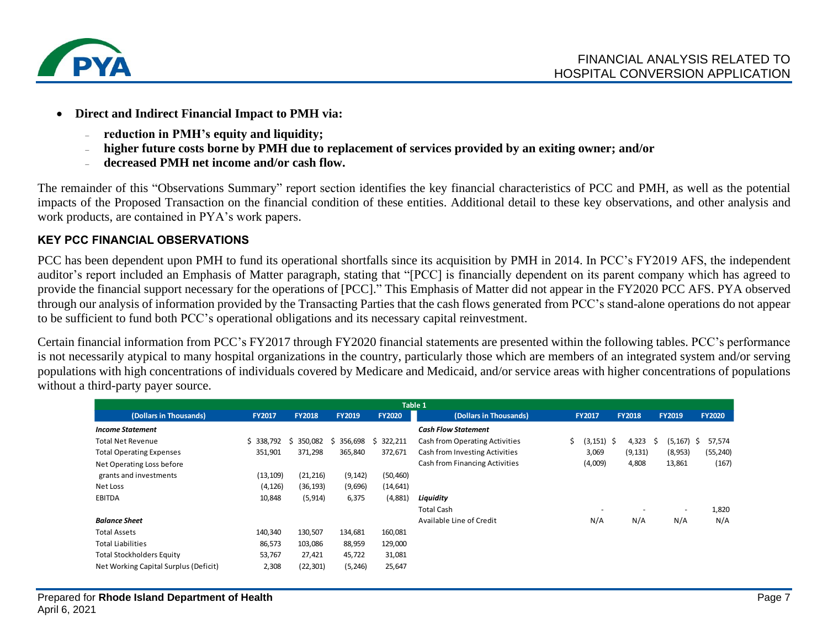

- **Direct and Indirect Financial Impact to PMH via:**
	- ₋ **reduction in PMH's equity and liquidity;**
	- ₋ **higher future costs borne by PMH due to replacement of services provided by an exiting owner; and/or**
	- ₋ **decreased PMH net income and/or cash flow.**

The remainder of this "Observations Summary" report section identifies the key financial characteristics of PCC and PMH, as well as the potential impacts of the Proposed Transaction on the financial condition of these entities. Additional detail to these key observations, and other analysis and work products, are contained in PYA's work papers.

### **KEY PCC FINANCIAL OBSERVATIONS**

PCC has been dependent upon PMH to fund its operational shortfalls since its acquisition by PMH in 2014. In PCC's FY2019 AFS, the independent auditor's report included an Emphasis of Matter paragraph, stating that "[PCC] is financially dependent on its parent company which has agreed to provide the financial support necessary for the operations of [PCC]." This Emphasis of Matter did not appear in the FY2020 PCC AFS. PYA observed through our analysis of information provided by the Transacting Parties that the cash flows generated from PCC's stand-alone operations do not appear to be sufficient to fund both PCC's operational obligations and its necessary capital reinvestment.

Certain financial information from PCC's FY2017 through FY2020 financial statements are presented within the following tables. PCC's performance is not necessarily atypical to many hospital organizations in the country, particularly those which are members of an integrated system and/or serving populations with high concentrations of individuals covered by Medicare and Medicaid, and/or service areas with higher concentrations of populations without a third-party payer source.

| Table 1                               |               |               |               |               |                                |    |               |                          |   |               |   |               |
|---------------------------------------|---------------|---------------|---------------|---------------|--------------------------------|----|---------------|--------------------------|---|---------------|---|---------------|
| (Dollars in Thousands)                | <b>FY2017</b> | <b>FY2018</b> | <b>FY2019</b> | <b>FY2020</b> | (Dollars in Thousands)         |    | <b>FY2017</b> | <b>FY2018</b>            |   | <b>FY2019</b> |   | <b>FY2020</b> |
| <b>Income Statement</b>               |               |               |               |               | <b>Cash Flow Statement</b>     |    |               |                          |   |               |   |               |
| <b>Total Net Revenue</b>              | \$338,792     | 350,082       | 356,698<br>S. | 322,211<br>S. | Cash from Operating Activities | S. | (3, 151)      | 4,323<br>- \$            | S | (5, 167)      | S | 57,574        |
| <b>Total Operating Expenses</b>       | 351,901       | 371,298       | 365,840       | 372,671       | Cash from Investing Activities |    | 3,069         | (9, 131)                 |   | (8,953)       |   | (55, 240)     |
| Net Operating Loss before             |               |               |               |               | Cash from Financing Activities |    | (4,009)       | 4,808                    |   | 13,861        |   | (167)         |
| grants and investments                | (13, 109)     | (21, 216)     | (9, 142)      | (50, 460)     |                                |    |               |                          |   |               |   |               |
| Net Loss                              | (4, 126)      | (36, 193)     | (9,696)       | (14, 641)     |                                |    |               |                          |   |               |   |               |
| <b>EBITDA</b>                         | 10,848        | (5, 914)      | 6,375         | (4,881)       | Liquidity                      |    |               |                          |   |               |   |               |
|                                       |               |               |               |               | <b>Total Cash</b>              |    |               | $\overline{\phantom{a}}$ |   |               |   | 1,820         |
| <b>Balance Sheet</b>                  |               |               |               |               | Available Line of Credit       |    | N/A           | N/A                      |   | N/A           |   | N/A           |
| <b>Total Assets</b>                   | 140,340       | 130,507       | 134,681       | 160,081       |                                |    |               |                          |   |               |   |               |
| <b>Total Liabilities</b>              | 86,573        | 103,086       | 88,959        | 129,000       |                                |    |               |                          |   |               |   |               |
| <b>Total Stockholders Equity</b>      | 53,767        | 27,421        | 45,722        | 31,081        |                                |    |               |                          |   |               |   |               |
| Net Working Capital Surplus (Deficit) | 2,308         | (22, 301)     | (5, 246)      | 25,647        |                                |    |               |                          |   |               |   |               |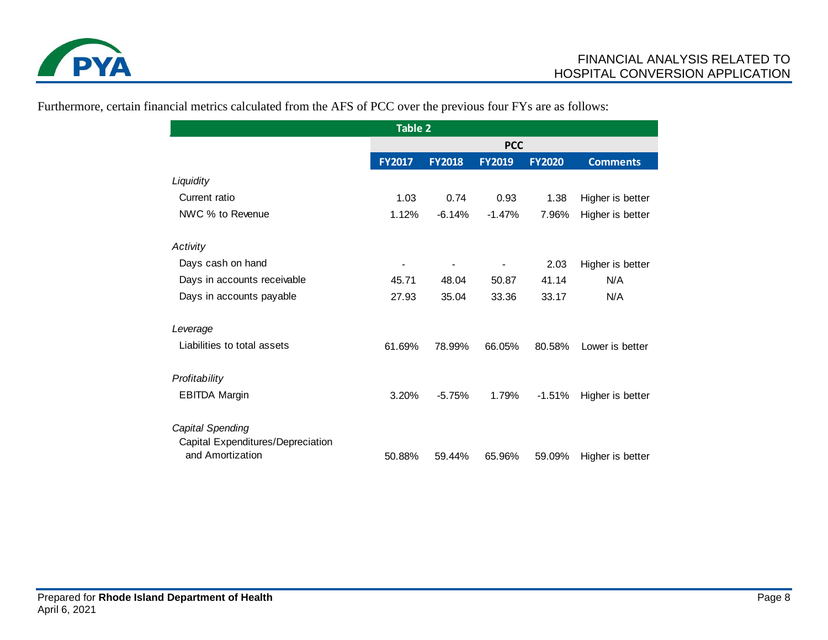

| <b>Table 2</b>                                        |                |                |                |               |                  |  |  |  |
|-------------------------------------------------------|----------------|----------------|----------------|---------------|------------------|--|--|--|
|                                                       | <b>PCC</b>     |                |                |               |                  |  |  |  |
|                                                       | <b>FY2017</b>  | <b>FY2018</b>  | <b>FY2019</b>  | <b>FY2020</b> | <b>Comments</b>  |  |  |  |
| Liquidity                                             |                |                |                |               |                  |  |  |  |
| Current ratio                                         | 1.03           | 0.74           | 0.93           | 1.38          | Higher is better |  |  |  |
| NWC % to Revenue                                      | 1.12%          | $-6.14%$       | $-1.47%$       | 7.96%         | Higher is better |  |  |  |
| Activity                                              |                |                |                |               |                  |  |  |  |
| Days cash on hand                                     | $\blacksquare$ | $\blacksquare$ | $\blacksquare$ | 2.03          | Higher is better |  |  |  |
| Days in accounts receivable                           | 45.71          | 48.04          | 50.87          | 41.14         | N/A              |  |  |  |
| Days in accounts payable                              | 27.93          | 35.04          | 33.36          | 33.17         | N/A              |  |  |  |
| Leverage                                              |                |                |                |               |                  |  |  |  |
| Liabilities to total assets                           | 61.69%         | 78.99%         | 66.05%         | 80.58%        | Lower is better  |  |  |  |
| Profitability                                         |                |                |                |               |                  |  |  |  |
| <b>EBITDA Margin</b>                                  | 3.20%          | $-5.75%$       | 1.79%          | $-1.51%$      | Higher is better |  |  |  |
| Capital Spending                                      |                |                |                |               |                  |  |  |  |
| Capital Expenditures/Depreciation<br>and Amortization | 50.88%         | 59.44%         | 65.96%         | 59.09%        | Higher is better |  |  |  |

Furthermore, certain financial metrics calculated from the AFS of PCC over the previous four FYs are as follows: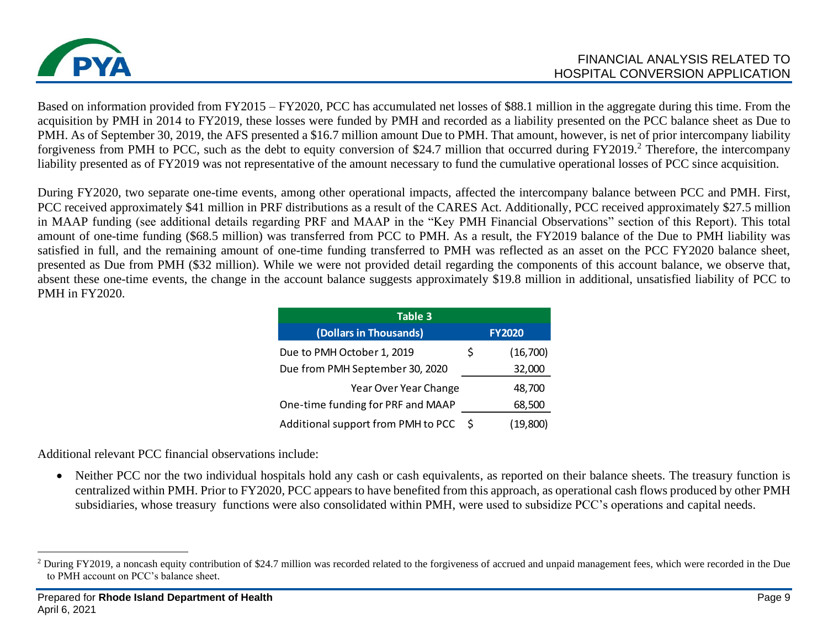

Based on information provided from FY2015 – FY2020, PCC has accumulated net losses of \$88.1 million in the aggregate during this time. From the acquisition by PMH in 2014 to FY2019, these losses were funded by PMH and recorded as a liability presented on the PCC balance sheet as Due to PMH. As of September 30, 2019, the AFS presented a \$16.7 million amount Due to PMH. That amount, however, is net of prior intercompany liability forgiveness from PMH to PCC, such as the debt to equity conversion of \$24.7 million that occurred during FY2019.<sup>2</sup> Therefore, the intercompany liability presented as of FY2019 was not representative of the amount necessary to fund the cumulative operational losses of PCC since acquisition.

During FY2020, two separate one-time events, among other operational impacts, affected the intercompany balance between PCC and PMH. First, PCC received approximately \$41 million in PRF distributions as a result of the CARES Act. Additionally, PCC received approximately \$27.5 million in MAAP funding (see additional details regarding PRF and MAAP in the "Key PMH Financial Observations" section of this Report). This total amount of one-time funding (\$68.5 million) was transferred from PCC to PMH. As a result, the FY2019 balance of the Due to PMH liability was satisfied in full, and the remaining amount of one-time funding transferred to PMH was reflected as an asset on the PCC FY2020 balance sheet, presented as Due from PMH (\$32 million). While we were not provided detail regarding the components of this account balance, we observe that, absent these one-time events, the change in the account balance suggests approximately \$19.8 million in additional, unsatisfied liability of PCC to PMH in FY2020.

| Table 3                            |    |               |  |  |  |  |  |  |  |  |
|------------------------------------|----|---------------|--|--|--|--|--|--|--|--|
| (Dollars in Thousands)             |    | <b>FY2020</b> |  |  |  |  |  |  |  |  |
| Due to PMH October 1, 2019         | \$ | (16,700)      |  |  |  |  |  |  |  |  |
| Due from PMH September 30, 2020    |    | 32,000        |  |  |  |  |  |  |  |  |
| Year Over Year Change              |    | 48,700        |  |  |  |  |  |  |  |  |
| One-time funding for PRF and MAAP  |    | 68,500        |  |  |  |  |  |  |  |  |
| Additional support from PMH to PCC | -S | (19.800)      |  |  |  |  |  |  |  |  |

Additional relevant PCC financial observations include:

• Neither PCC nor the two individual hospitals hold any cash or cash equivalents, as reported on their balance sheets. The treasury function is centralized within PMH. Prior to FY2020, PCC appears to have benefited from this approach, as operational cash flows produced by other PMH subsidiaries, whose treasury functions were also consolidated within PMH, were used to subsidize PCC's operations and capital needs.

<sup>&</sup>lt;sup>2</sup> During FY2019, a noncash equity contribution of \$24.7 million was recorded related to the forgiveness of accrued and unpaid management fees, which were recorded in the Due to PMH account on PCC's balance sheet.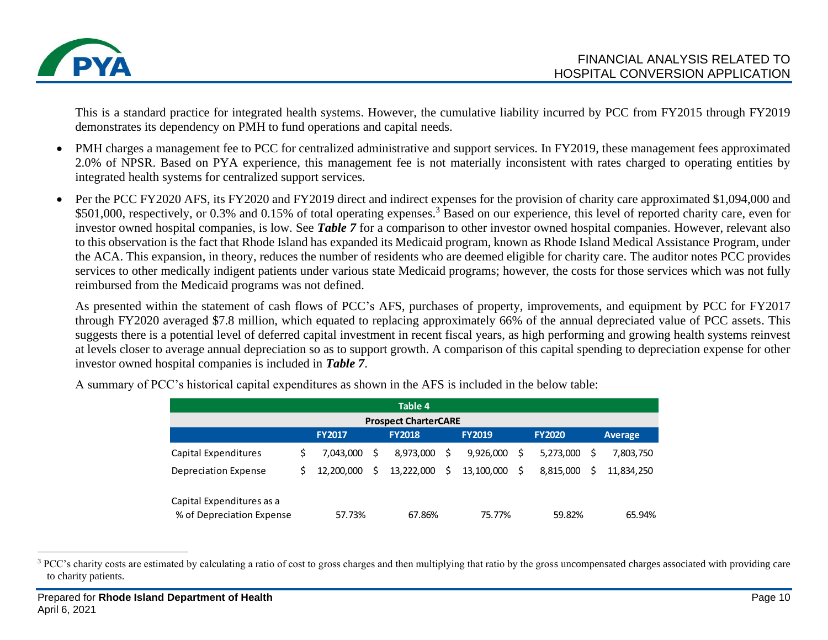

This is a standard practice for integrated health systems. However, the cumulative liability incurred by PCC from FY2015 through FY2019 demonstrates its dependency on PMH to fund operations and capital needs.

- PMH charges a management fee to PCC for centralized administrative and support services. In FY2019, these management fees approximated 2.0% of NPSR. Based on PYA experience, this management fee is not materially inconsistent with rates charged to operating entities by integrated health systems for centralized support services.
- Per the PCC FY2020 AFS, its FY2020 and FY2019 direct and indirect expenses for the provision of charity care approximated \$1,094,000 and \$501,000, respectively, or 0.3% and 0.15% of total operating expenses.<sup>3</sup> Based on our experience, this level of reported charity care, even for investor owned hospital companies, is low. See *Table 7* for a comparison to other investor owned hospital companies. However, relevant also to this observation is the fact that Rhode Island has expanded its Medicaid program, known as Rhode Island Medical Assistance Program, under the ACA. This expansion, in theory, reduces the number of residents who are deemed eligible for charity care. The auditor notes PCC provides services to other medically indigent patients under various state Medicaid programs; however, the costs for those services which was not fully reimbursed from the Medicaid programs was not defined.

As presented within the statement of cash flows of PCC's AFS, purchases of property, improvements, and equipment by PCC for FY2017 through FY2020 averaged \$7.8 million, which equated to replacing approximately 66% of the annual depreciated value of PCC assets. This suggests there is a potential level of deferred capital investment in recent fiscal years, as high performing and growing health systems reinvest at levels closer to average annual depreciation so as to support growth. A comparison of this capital spending to depreciation expense for other investor owned hospital companies is included in *Table 7*.

| Table 4                                                                     |    |            |    |            |    |            |    |           |   |            |
|-----------------------------------------------------------------------------|----|------------|----|------------|----|------------|----|-----------|---|------------|
| <b>Prospect CharterCARE</b>                                                 |    |            |    |            |    |            |    |           |   |            |
| <b>FY2018</b><br><b>FY2019</b><br><b>FY2020</b><br><b>FY2017</b><br>Average |    |            |    |            |    |            |    |           |   |            |
| Capital Expenditures                                                        |    | 7.043.000  | Ś  | 8,973,000  |    | 9,926,000  | S  | 5,273,000 | S | 7,803,750  |
| Depreciation Expense                                                        | S. | 12,200,000 | Ŝ. | 13,222,000 | \$ | 13,100,000 | Ŝ. | 8,815,000 | Ś | 11.834.250 |
| Capital Expenditures as a<br>% of Depreciation Expense                      |    | 57.73%     |    | 67.86%     |    | 75.77%     |    | 59.82%    |   | 65.94%     |

A summary of PCC's historical capital expenditures as shown in the AFS is included in the below table:

<sup>&</sup>lt;sup>3</sup> PCC's charity costs are estimated by calculating a ratio of cost to gross charges and then multiplying that ratio by the gross uncompensated charges associated with providing care to charity patients.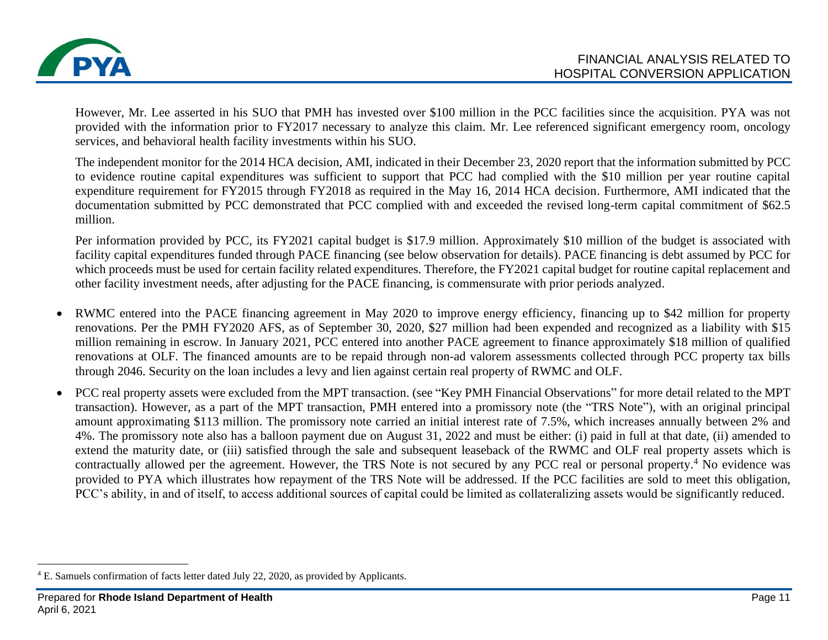

However, Mr. Lee asserted in his SUO that PMH has invested over \$100 million in the PCC facilities since the acquisition. PYA was not provided with the information prior to FY2017 necessary to analyze this claim. Mr. Lee referenced significant emergency room, oncology services, and behavioral health facility investments within his SUO.

The independent monitor for the 2014 HCA decision, AMI, indicated in their December 23, 2020 report that the information submitted by PCC to evidence routine capital expenditures was sufficient to support that PCC had complied with the \$10 million per year routine capital expenditure requirement for FY2015 through FY2018 as required in the May 16, 2014 HCA decision. Furthermore, AMI indicated that the documentation submitted by PCC demonstrated that PCC complied with and exceeded the revised long-term capital commitment of \$62.5 million.

Per information provided by PCC, its FY2021 capital budget is \$17.9 million. Approximately \$10 million of the budget is associated with facility capital expenditures funded through PACE financing (see below observation for details). PACE financing is debt assumed by PCC for which proceeds must be used for certain facility related expenditures. Therefore, the FY2021 capital budget for routine capital replacement and other facility investment needs, after adjusting for the PACE financing, is commensurate with prior periods analyzed.

- RWMC entered into the PACE financing agreement in May 2020 to improve energy efficiency, financing up to \$42 million for property renovations. Per the PMH FY2020 AFS, as of September 30, 2020, \$27 million had been expended and recognized as a liability with \$15 million remaining in escrow. In January 2021, PCC entered into another PACE agreement to finance approximately \$18 million of qualified renovations at OLF. The financed amounts are to be repaid through non-ad valorem assessments collected through PCC property tax bills through 2046. Security on the loan includes a levy and lien against certain real property of RWMC and OLF.
- PCC real property assets were excluded from the MPT transaction. (see "Key PMH Financial Observations" for more detail related to the MPT transaction). However, as a part of the MPT transaction, PMH entered into a promissory note (the "TRS Note"), with an original principal amount approximating \$113 million. The promissory note carried an initial interest rate of 7.5%, which increases annually between 2% and 4%. The promissory note also has a balloon payment due on August 31, 2022 and must be either: (i) paid in full at that date, (ii) amended to extend the maturity date, or (iii) satisfied through the sale and subsequent leaseback of the RWMC and OLF real property assets which is contractually allowed per the agreement. However, the TRS Note is not secured by any PCC real or personal property.<sup>4</sup> No evidence was provided to PYA which illustrates how repayment of the TRS Note will be addressed. If the PCC facilities are sold to meet this obligation, PCC's ability, in and of itself, to access additional sources of capital could be limited as collateralizing assets would be significantly reduced.

<sup>4</sup> E. Samuels confirmation of facts letter dated July 22, 2020, as provided by Applicants.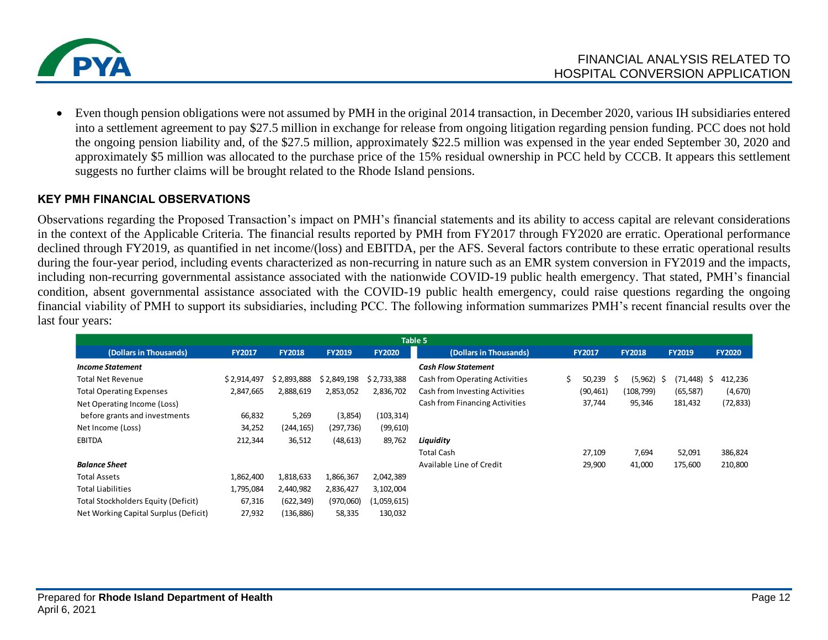

• Even though pension obligations were not assumed by PMH in the original 2014 transaction, in December 2020, various IH subsidiaries entered into a settlement agreement to pay \$27.5 million in exchange for release from ongoing litigation regarding pension funding. PCC does not hold the ongoing pension liability and, of the \$27.5 million, approximately \$22.5 million was expensed in the year ended September 30, 2020 and approximately \$5 million was allocated to the purchase price of the 15% residual ownership in PCC held by CCCB. It appears this settlement suggests no further claims will be brought related to the Rhode Island pensions.

#### **KEY PMH FINANCIAL OBSERVATIONS**

Observations regarding the Proposed Transaction's impact on PMH's financial statements and its ability to access capital are relevant considerations in the context of the Applicable Criteria. The financial results reported by PMH from FY2017 through FY2020 are erratic. Operational performance declined through FY2019, as quantified in net income/(loss) and EBITDA, per the AFS. Several factors contribute to these erratic operational results during the four-year period, including events characterized as non-recurring in nature such as an EMR system conversion in FY2019 and the impacts, including non-recurring governmental assistance associated with the nationwide COVID-19 public health emergency. That stated, PMH's financial condition, absent governmental assistance associated with the COVID-19 public health emergency, could raise questions regarding the ongoing financial viability of PMH to support its subsidiaries, including PCC. The following information summarizes PMH's recent financial results over the last four years:

|                                       |               |               |               |               | Table 5                        |                                                 |           |                |                |              |
|---------------------------------------|---------------|---------------|---------------|---------------|--------------------------------|-------------------------------------------------|-----------|----------------|----------------|--------------|
| (Dollars in Thousands)                | <b>FY2017</b> | <b>FY2018</b> | <b>FY2019</b> | <b>FY2020</b> | (Dollars in Thousands)         | <b>FY2018</b><br><b>FY2017</b><br><b>FY2019</b> |           |                | <b>FY2020</b>  |              |
| <b>Income Statement</b>               |               |               |               |               | <b>Cash Flow Statement</b>     |                                                 |           |                |                |              |
| <b>Total Net Revenue</b>              | \$2,914,497   | \$2.893.888   | \$2,849,198   | \$2,733,388   | Cash from Operating Activities | Ś.                                              | 50,239    | (5, 962)<br>-S | (71,448)<br>-S | 412,236<br>Ś |
| <b>Total Operating Expenses</b>       | 2,847,665     | 2,888,619     | 2,853,052     | 2,836,702     | Cash from Investing Activities |                                                 | (90, 461) | (108, 799)     | (65, 587)      | (4,670)      |
| Net Operating Income (Loss)           |               |               |               |               | Cash from Financing Activities |                                                 | 37,744    | 95,346         | 181,432        | (72,833)     |
| before grants and investments         | 66,832        | 5,269         | (3,854)       | (103, 314)    |                                |                                                 |           |                |                |              |
| Net Income (Loss)                     | 34,252        | (244, 165)    | (297,736)     | (99, 610)     |                                |                                                 |           |                |                |              |
| <b>EBITDA</b>                         | 212,344       | 36,512        | (48, 613)     | 89,762        | Liquidity                      |                                                 |           |                |                |              |
|                                       |               |               |               |               | <b>Total Cash</b>              |                                                 | 27,109    | 7,694          | 52,091         | 386,824      |
| <b>Balance Sheet</b>                  |               |               |               |               | Available Line of Credit       |                                                 | 29,900    | 41,000         | 175,600        | 210,800      |
| <b>Total Assets</b>                   | 1,862,400     | 1,818,633     | 1,866,367     | 2,042,389     |                                |                                                 |           |                |                |              |
| <b>Total Liabilities</b>              | 1,795,084     | 2,440,982     | 2,836,427     | 3,102,004     |                                |                                                 |           |                |                |              |
| Total Stockholders Equity (Deficit)   | 67,316        | (622, 349)    | (970,060)     | (1,059,615)   |                                |                                                 |           |                |                |              |
| Net Working Capital Surplus (Deficit) | 27,932        | (136, 886)    | 58,335        | 130,032       |                                |                                                 |           |                |                |              |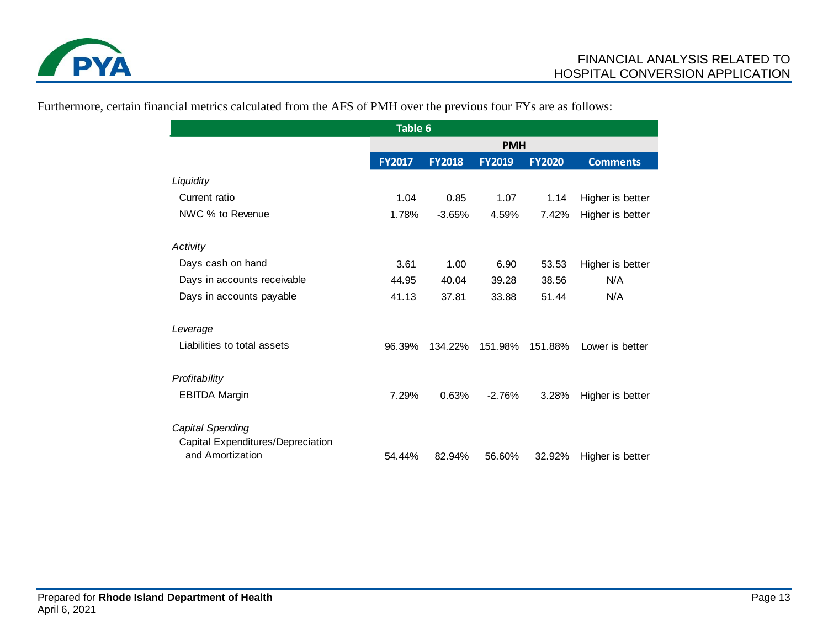

| Table 6                                               |               |               |               |               |                  |  |  |  |
|-------------------------------------------------------|---------------|---------------|---------------|---------------|------------------|--|--|--|
|                                                       | <b>PMH</b>    |               |               |               |                  |  |  |  |
|                                                       | <b>FY2017</b> | <b>FY2018</b> | <b>FY2019</b> | <b>FY2020</b> | <b>Comments</b>  |  |  |  |
| Liquidity                                             |               |               |               |               |                  |  |  |  |
| Current ratio                                         | 1.04          | 0.85          | 1.07          | 1.14          | Higher is better |  |  |  |
| NWC % to Revenue                                      | 1.78%         | $-3.65%$      | 4.59%         | 7.42%         | Higher is better |  |  |  |
| Activity                                              |               |               |               |               |                  |  |  |  |
| Days cash on hand                                     | 3.61          | 1.00          | 6.90          | 53.53         | Higher is better |  |  |  |
| Days in accounts receivable                           | 44.95         | 40.04         | 39.28         | 38.56         | N/A              |  |  |  |
| Days in accounts payable                              | 41.13         | 37.81         | 33.88         | 51.44         | N/A              |  |  |  |
| Leverage                                              |               |               |               |               |                  |  |  |  |
| Liabilities to total assets                           | 96.39%        | 134.22%       | 151.98%       | 151.88%       | Lower is better  |  |  |  |
| Profitability                                         |               |               |               |               |                  |  |  |  |
| <b>EBITDA Margin</b>                                  | 7.29%         | 0.63%         | $-2.76%$      | 3.28%         | Higher is better |  |  |  |
| Capital Spending                                      |               |               |               |               |                  |  |  |  |
| Capital Expenditures/Depreciation<br>and Amortization | 54.44%        | 82.94%        | 56.60%        | 32.92%        | Higher is better |  |  |  |

Furthermore, certain financial metrics calculated from the AFS of PMH over the previous four FYs are as follows: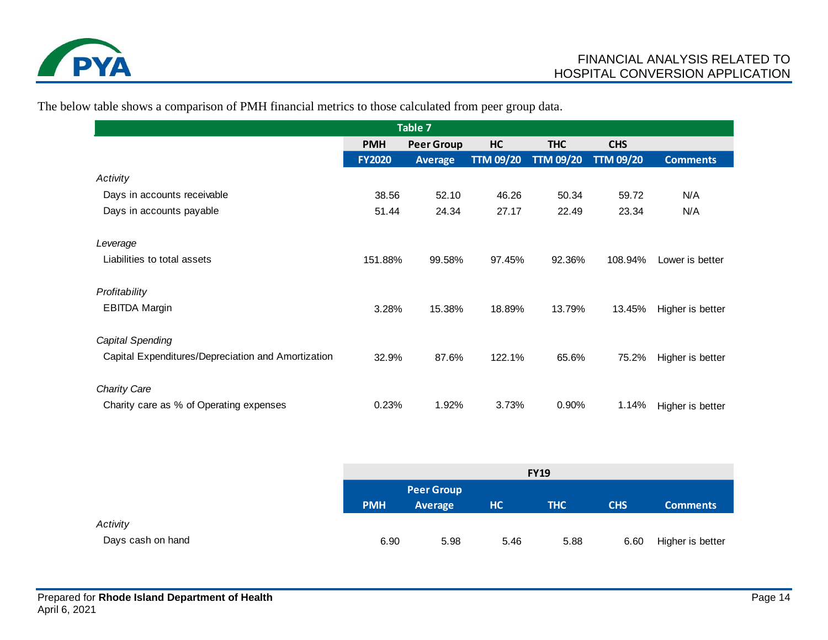

The below table shows a comparison of PMH financial metrics to those calculated from peer group data.

| Table 7                                            |               |                   |                  |                  |                  |                  |  |  |  |
|----------------------------------------------------|---------------|-------------------|------------------|------------------|------------------|------------------|--|--|--|
|                                                    | <b>PMH</b>    | <b>Peer Group</b> | HC               | <b>THC</b>       | <b>CHS</b>       |                  |  |  |  |
|                                                    | <b>FY2020</b> | <b>Average</b>    | <b>TTM 09/20</b> | <b>TTM 09/20</b> | <b>TTM 09/20</b> | <b>Comments</b>  |  |  |  |
| Activity                                           |               |                   |                  |                  |                  |                  |  |  |  |
| Days in accounts receivable                        | 38.56         | 52.10             | 46.26            | 50.34            | 59.72            | N/A              |  |  |  |
| Days in accounts payable                           | 51.44         | 24.34             | 27.17            | 22.49            | 23.34            | N/A              |  |  |  |
| Leverage                                           |               |                   |                  |                  |                  |                  |  |  |  |
| Liabilities to total assets                        | 151.88%       | 99.58%            | 97.45%           | 92.36%           | 108.94%          | Lower is better  |  |  |  |
| Profitability                                      |               |                   |                  |                  |                  |                  |  |  |  |
| <b>EBITDA Margin</b>                               | 3.28%         | 15.38%            | 18.89%           | 13.79%           | 13.45%           | Higher is better |  |  |  |
| Capital Spending                                   |               |                   |                  |                  |                  |                  |  |  |  |
| Capital Expenditures/Depreciation and Amortization | 32.9%         | 87.6%             | 122.1%           | 65.6%            | 75.2%            | Higher is better |  |  |  |
| <b>Charity Care</b>                                |               |                   |                  |                  |                  |                  |  |  |  |
| Charity care as % of Operating expenses            | 0.23%         | 1.92%             | 3.73%            | 0.90%            | 1.14%            | Higher is better |  |  |  |

|                   | <b>FY19</b> |                   |      |            |            |                  |  |  |
|-------------------|-------------|-------------------|------|------------|------------|------------------|--|--|
|                   |             | <b>Peer Group</b> |      |            |            |                  |  |  |
|                   | <b>PMH</b>  | <b>Average</b>    | HC   | <b>THC</b> | <b>CHS</b> | <b>Comments</b>  |  |  |
| Activity          |             |                   |      |            |            |                  |  |  |
| Days cash on hand | 6.90        | 5.98              | 5.46 | 5.88       | 6.60       | Higher is better |  |  |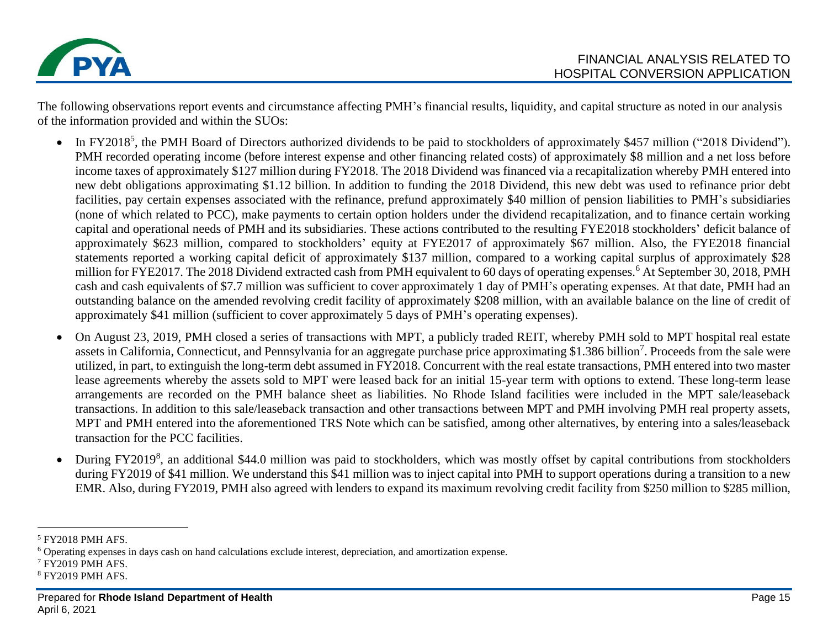

The following observations report events and circumstance affecting PMH's financial results, liquidity, and capital structure as noted in our analysis of the information provided and within the SUOs:

- In FY2018<sup>5</sup>, the PMH Board of Directors authorized dividends to be paid to stockholders of approximately \$457 million ("2018 Dividend"). PMH recorded operating income (before interest expense and other financing related costs) of approximately \$8 million and a net loss before income taxes of approximately \$127 million during FY2018. The 2018 Dividend was financed via a recapitalization whereby PMH entered into new debt obligations approximating \$1.12 billion. In addition to funding the 2018 Dividend, this new debt was used to refinance prior debt facilities, pay certain expenses associated with the refinance, prefund approximately \$40 million of pension liabilities to PMH's subsidiaries (none of which related to PCC), make payments to certain option holders under the dividend recapitalization, and to finance certain working capital and operational needs of PMH and its subsidiaries. These actions contributed to the resulting FYE2018 stockholders' deficit balance of approximately \$623 million, compared to stockholders' equity at FYE2017 of approximately \$67 million. Also, the FYE2018 financial statements reported a working capital deficit of approximately \$137 million, compared to a working capital surplus of approximately \$28 million for FYE2017. The 2018 Dividend extracted cash from PMH equivalent to 60 days of operating expenses.<sup>6</sup> At September 30, 2018, PMH cash and cash equivalents of \$7.7 million was sufficient to cover approximately 1 day of PMH's operating expenses. At that date, PMH had an outstanding balance on the amended revolving credit facility of approximately \$208 million, with an available balance on the line of credit of approximately \$41 million (sufficient to cover approximately 5 days of PMH's operating expenses).
- On August 23, 2019, PMH closed a series of transactions with MPT, a publicly traded REIT, whereby PMH sold to MPT hospital real estate assets in California, Connecticut, and Pennsylvania for an aggregate purchase price approximating \$1.386 billion<sup>7</sup>. Proceeds from the sale were utilized, in part, to extinguish the long-term debt assumed in FY2018. Concurrent with the real estate transactions, PMH entered into two master lease agreements whereby the assets sold to MPT were leased back for an initial 15-year term with options to extend. These long-term lease arrangements are recorded on the PMH balance sheet as liabilities. No Rhode Island facilities were included in the MPT sale/leaseback transactions. In addition to this sale/leaseback transaction and other transactions between MPT and PMH involving PMH real property assets, MPT and PMH entered into the aforementioned TRS Note which can be satisfied, among other alternatives, by entering into a sales/leaseback transaction for the PCC facilities.
- During FY2019<sup>8</sup>, an additional \$44.0 million was paid to stockholders, which was mostly offset by capital contributions from stockholders during FY2019 of \$41 million. We understand this \$41 million was to inject capital into PMH to support operations during a transition to a new EMR. Also, during FY2019, PMH also agreed with lenders to expand its maximum revolving credit facility from \$250 million to \$285 million,

- <sup>7</sup> FY2019 PMH AFS.
- <sup>8</sup> FY2019 PMH AFS.

<sup>5</sup> FY2018 PMH AFS.

<sup>6</sup> Operating expenses in days cash on hand calculations exclude interest, depreciation, and amortization expense.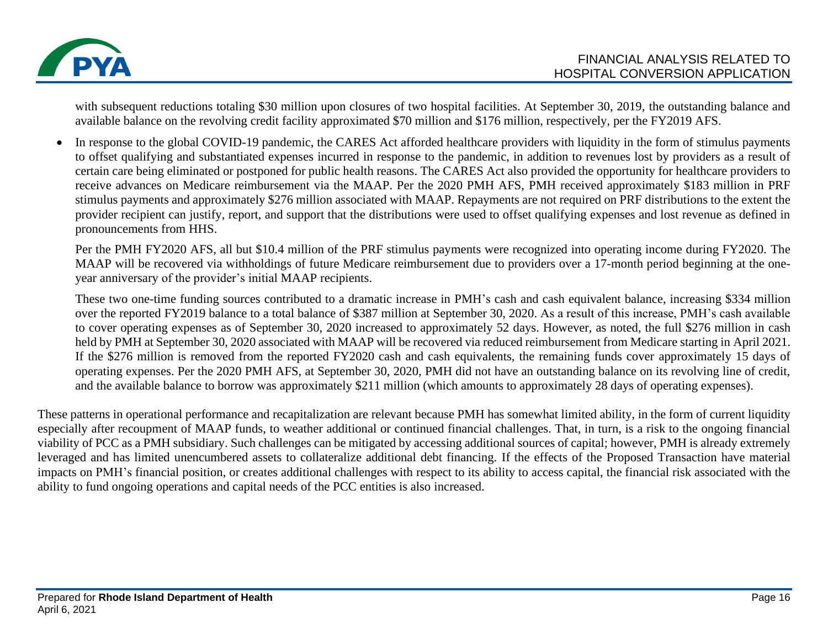

with subsequent reductions totaling \$30 million upon closures of two hospital facilities. At September 30, 2019, the outstanding balance and available balance on the revolving credit facility approximated \$70 million and \$176 million, respectively, per the FY2019 AFS.

• In response to the global COVID-19 pandemic, the CARES Act afforded healthcare providers with liquidity in the form of stimulus payments to offset qualifying and substantiated expenses incurred in response to the pandemic, in addition to revenues lost by providers as a result of certain care being eliminated or postponed for public health reasons. The CARES Act also provided the opportunity for healthcare providers to receive advances on Medicare reimbursement via the MAAP. Per the 2020 PMH AFS, PMH received approximately \$183 million in PRF stimulus payments and approximately \$276 million associated with MAAP. Repayments are not required on PRF distributions to the extent the provider recipient can justify, report, and support that the distributions were used to offset qualifying expenses and lost revenue as defined in pronouncements from HHS.

Per the PMH FY2020 AFS, all but \$10.4 million of the PRF stimulus payments were recognized into operating income during FY2020. The MAAP will be recovered via withholdings of future Medicare reimbursement due to providers over a 17-month period beginning at the oneyear anniversary of the provider's initial MAAP recipients.

These two one-time funding sources contributed to a dramatic increase in PMH's cash and cash equivalent balance, increasing \$334 million over the reported FY2019 balance to a total balance of \$387 million at September 30, 2020. As a result of this increase, PMH's cash available to cover operating expenses as of September 30, 2020 increased to approximately 52 days. However, as noted, the full \$276 million in cash held by PMH at September 30, 2020 associated with MAAP will be recovered via reduced reimbursement from Medicare starting in April 2021. If the \$276 million is removed from the reported FY2020 cash and cash equivalents, the remaining funds cover approximately 15 days of operating expenses. Per the 2020 PMH AFS, at September 30, 2020, PMH did not have an outstanding balance on its revolving line of credit, and the available balance to borrow was approximately \$211 million (which amounts to approximately 28 days of operating expenses).

These patterns in operational performance and recapitalization are relevant because PMH has somewhat limited ability, in the form of current liquidity especially after recoupment of MAAP funds, to weather additional or continued financial challenges. That, in turn, is a risk to the ongoing financial viability of PCC as a PMH subsidiary. Such challenges can be mitigated by accessing additional sources of capital; however, PMH is already extremely leveraged and has limited unencumbered assets to collateralize additional debt financing. If the effects of the Proposed Transaction have material impacts on PMH's financial position, or creates additional challenges with respect to its ability to access capital, the financial risk associated with the ability to fund ongoing operations and capital needs of the PCC entities is also increased.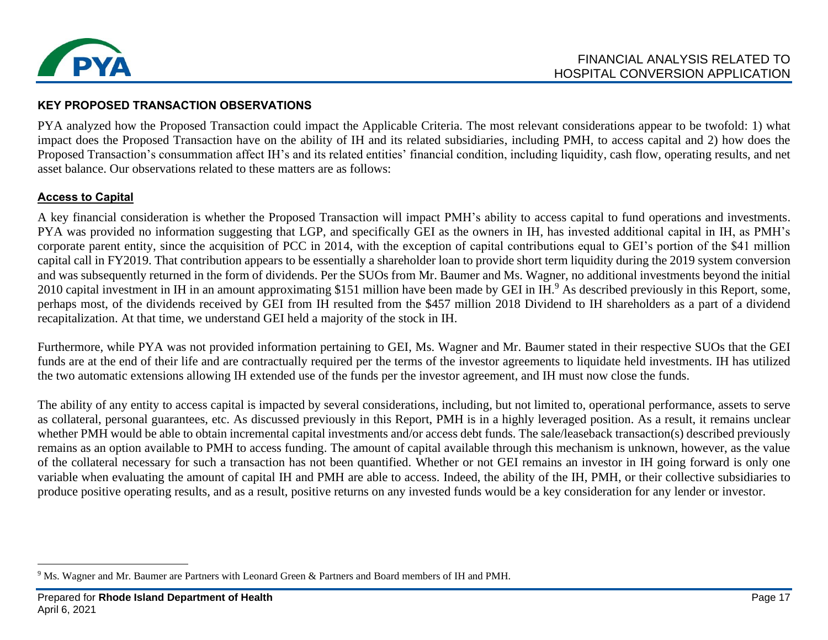

### **KEY PROPOSED TRANSACTION OBSERVATIONS**

PYA analyzed how the Proposed Transaction could impact the Applicable Criteria. The most relevant considerations appear to be twofold: 1) what impact does the Proposed Transaction have on the ability of IH and its related subsidiaries, including PMH, to access capital and 2) how does the Proposed Transaction's consummation affect IH's and its related entities' financial condition, including liquidity, cash flow, operating results, and net asset balance. Our observations related to these matters are as follows:

### **Access to Capital**

A key financial consideration is whether the Proposed Transaction will impact PMH's ability to access capital to fund operations and investments. PYA was provided no information suggesting that LGP, and specifically GEI as the owners in IH, has invested additional capital in IH, as PMH's corporate parent entity, since the acquisition of PCC in 2014, with the exception of capital contributions equal to GEI's portion of the \$41 million capital call in FY2019. That contribution appears to be essentially a shareholder loan to provide short term liquidity during the 2019 system conversion and was subsequently returned in the form of dividends. Per the SUOs from Mr. Baumer and Ms. Wagner, no additional investments beyond the initial 2010 capital investment in IH in an amount approximating \$151 million have been made by GEI in IH.<sup>9</sup> As described previously in this Report, some, perhaps most, of the dividends received by GEI from IH resulted from the \$457 million 2018 Dividend to IH shareholders as a part of a dividend recapitalization. At that time, we understand GEI held a majority of the stock in IH.

Furthermore, while PYA was not provided information pertaining to GEI, Ms. Wagner and Mr. Baumer stated in their respective SUOs that the GEI funds are at the end of their life and are contractually required per the terms of the investor agreements to liquidate held investments. IH has utilized the two automatic extensions allowing IH extended use of the funds per the investor agreement, and IH must now close the funds.

The ability of any entity to access capital is impacted by several considerations, including, but not limited to, operational performance, assets to serve as collateral, personal guarantees, etc. As discussed previously in this Report, PMH is in a highly leveraged position. As a result, it remains unclear whether PMH would be able to obtain incremental capital investments and/or access debt funds. The sale/leaseback transaction(s) described previously remains as an option available to PMH to access funding. The amount of capital available through this mechanism is unknown, however, as the value of the collateral necessary for such a transaction has not been quantified. Whether or not GEI remains an investor in IH going forward is only one variable when evaluating the amount of capital IH and PMH are able to access. Indeed, the ability of the IH, PMH, or their collective subsidiaries to produce positive operating results, and as a result, positive returns on any invested funds would be a key consideration for any lender or investor.

<sup>9</sup> Ms. Wagner and Mr. Baumer are Partners with Leonard Green & Partners and Board members of IH and PMH.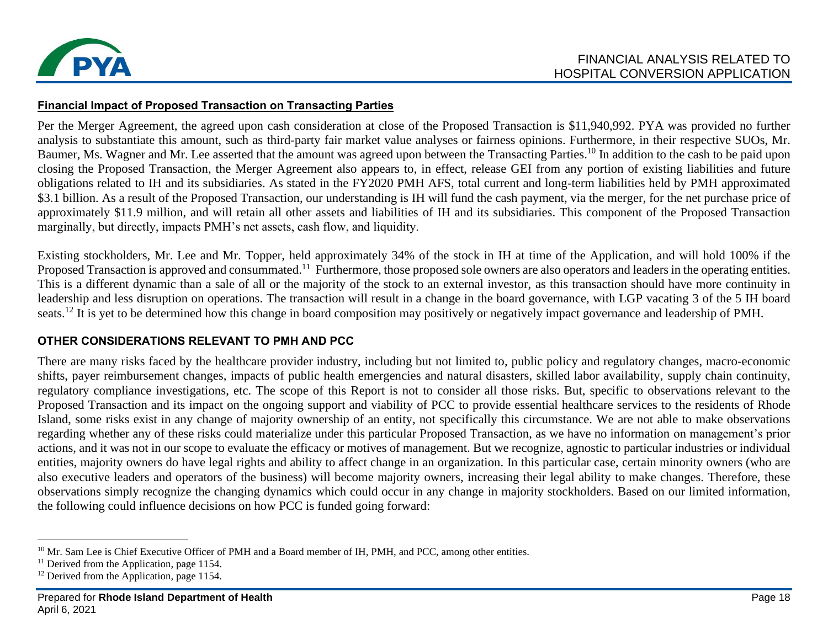

#### **Financial Impact of Proposed Transaction on Transacting Parties**

Per the Merger Agreement, the agreed upon cash consideration at close of the Proposed Transaction is \$11,940,992. PYA was provided no further analysis to substantiate this amount, such as third-party fair market value analyses or fairness opinions. Furthermore, in their respective SUOs, Mr. Baumer, Ms. Wagner and Mr. Lee asserted that the amount was agreed upon between the Transacting Parties.<sup>10</sup> In addition to the cash to be paid upon closing the Proposed Transaction, the Merger Agreement also appears to, in effect, release GEI from any portion of existing liabilities and future obligations related to IH and its subsidiaries. As stated in the FY2020 PMH AFS, total current and long-term liabilities held by PMH approximated \$3.1 billion. As a result of the Proposed Transaction, our understanding is IH will fund the cash payment, via the merger, for the net purchase price of approximately \$11.9 million, and will retain all other assets and liabilities of IH and its subsidiaries. This component of the Proposed Transaction marginally, but directly, impacts PMH's net assets, cash flow, and liquidity.

Existing stockholders, Mr. Lee and Mr. Topper, held approximately 34% of the stock in IH at time of the Application, and will hold 100% if the Proposed Transaction is approved and consummated.<sup>11</sup> Furthermore, those proposed sole owners are also operators and leaders in the operating entities. This is a different dynamic than a sale of all or the majority of the stock to an external investor, as this transaction should have more continuity in leadership and less disruption on operations. The transaction will result in a change in the board governance, with LGP vacating 3 of the 5 IH board seats.<sup>12</sup> It is yet to be determined how this change in board composition may positively or negatively impact governance and leadership of PMH.

### **OTHER CONSIDERATIONS RELEVANT TO PMH AND PCC**

There are many risks faced by the healthcare provider industry, including but not limited to, public policy and regulatory changes, macro-economic shifts, payer reimbursement changes, impacts of public health emergencies and natural disasters, skilled labor availability, supply chain continuity, regulatory compliance investigations, etc. The scope of this Report is not to consider all those risks. But, specific to observations relevant to the Proposed Transaction and its impact on the ongoing support and viability of PCC to provide essential healthcare services to the residents of Rhode Island, some risks exist in any change of majority ownership of an entity, not specifically this circumstance. We are not able to make observations regarding whether any of these risks could materialize under this particular Proposed Transaction, as we have no information on management's prior actions, and it was not in our scope to evaluate the efficacy or motives of management. But we recognize, agnostic to particular industries or individual entities, majority owners do have legal rights and ability to affect change in an organization. In this particular case, certain minority owners (who are also executive leaders and operators of the business) will become majority owners, increasing their legal ability to make changes. Therefore, these observations simply recognize the changing dynamics which could occur in any change in majority stockholders. Based on our limited information, the following could influence decisions on how PCC is funded going forward:

<sup>&</sup>lt;sup>10</sup> Mr. Sam Lee is Chief Executive Officer of PMH and a Board member of IH, PMH, and PCC, among other entities.

<sup>&</sup>lt;sup>11</sup> Derived from the Application, page 1154.

 $12$  Derived from the Application, page 1154.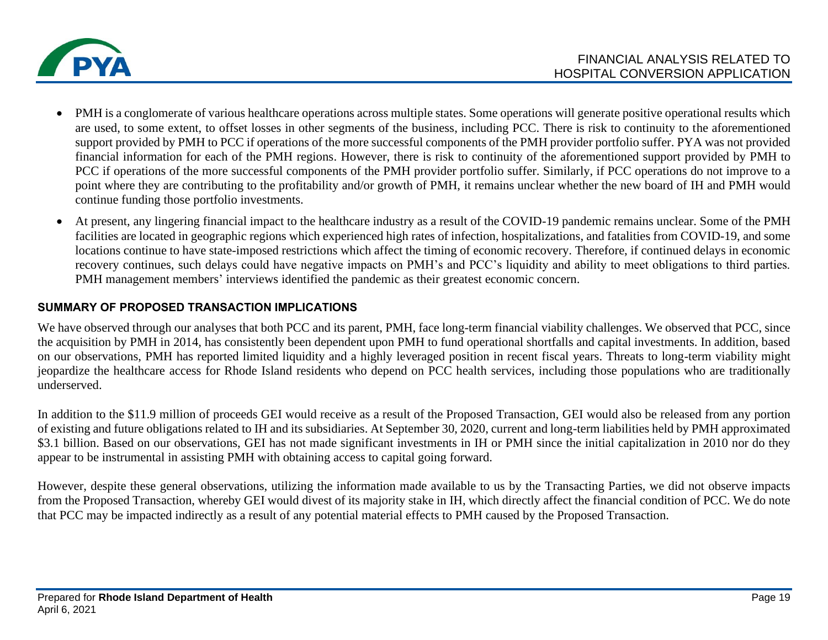

- PMH is a conglomerate of various healthcare operations across multiple states. Some operations will generate positive operational results which are used, to some extent, to offset losses in other segments of the business, including PCC. There is risk to continuity to the aforementioned support provided by PMH to PCC if operations of the more successful components of the PMH provider portfolio suffer. PYA was not provided financial information for each of the PMH regions. However, there is risk to continuity of the aforementioned support provided by PMH to PCC if operations of the more successful components of the PMH provider portfolio suffer. Similarly, if PCC operations do not improve to a point where they are contributing to the profitability and/or growth of PMH, it remains unclear whether the new board of IH and PMH would continue funding those portfolio investments.
- At present, any lingering financial impact to the healthcare industry as a result of the COVID-19 pandemic remains unclear. Some of the PMH facilities are located in geographic regions which experienced high rates of infection, hospitalizations, and fatalities from COVID-19, and some locations continue to have state-imposed restrictions which affect the timing of economic recovery. Therefore, if continued delays in economic recovery continues, such delays could have negative impacts on PMH's and PCC's liquidity and ability to meet obligations to third parties. PMH management members' interviews identified the pandemic as their greatest economic concern.

### **SUMMARY OF PROPOSED TRANSACTION IMPLICATIONS**

We have observed through our analyses that both PCC and its parent, PMH, face long-term financial viability challenges. We observed that PCC, since the acquisition by PMH in 2014, has consistently been dependent upon PMH to fund operational shortfalls and capital investments. In addition, based on our observations, PMH has reported limited liquidity and a highly leveraged position in recent fiscal years. Threats to long-term viability might jeopardize the healthcare access for Rhode Island residents who depend on PCC health services, including those populations who are traditionally underserved.

In addition to the \$11.9 million of proceeds GEI would receive as a result of the Proposed Transaction, GEI would also be released from any portion of existing and future obligations related to IH and its subsidiaries. At September 30, 2020, current and long-term liabilities held by PMH approximated \$3.1 billion. Based on our observations, GEI has not made significant investments in IH or PMH since the initial capitalization in 2010 nor do they appear to be instrumental in assisting PMH with obtaining access to capital going forward.

However, despite these general observations, utilizing the information made available to us by the Transacting Parties, we did not observe impacts from the Proposed Transaction, whereby GEI would divest of its majority stake in IH, which directly affect the financial condition of PCC. We do note that PCC may be impacted indirectly as a result of any potential material effects to PMH caused by the Proposed Transaction.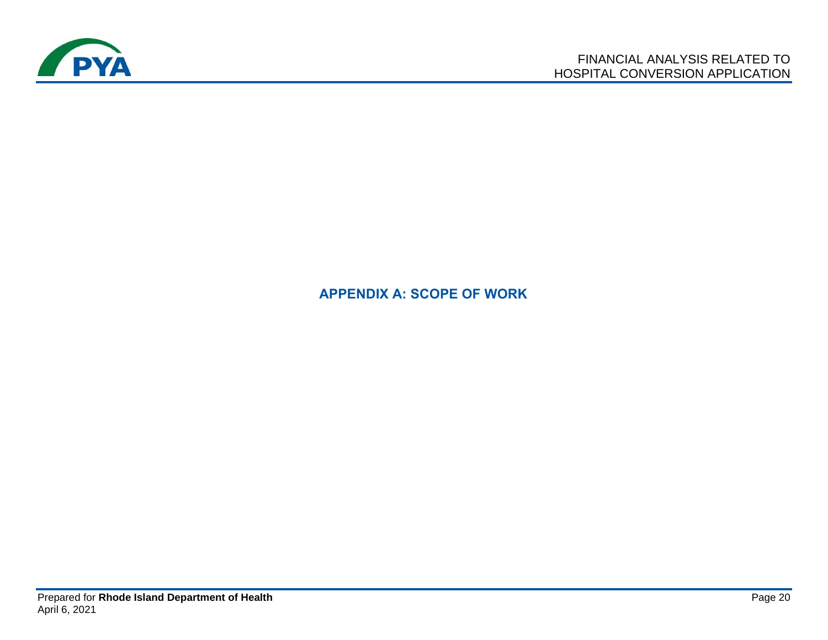

## **APPENDIX A: SCOPE OF WORK**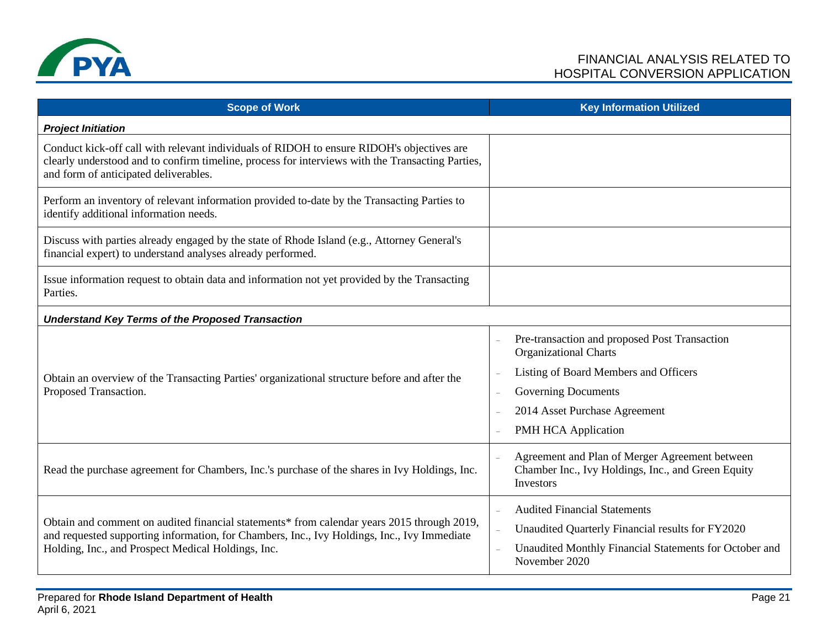

| <b>Scope of Work</b>                                                                                                                                                                                                                            | <b>Key Information Utilized</b>                                                                                                                                                                                                                 |
|-------------------------------------------------------------------------------------------------------------------------------------------------------------------------------------------------------------------------------------------------|-------------------------------------------------------------------------------------------------------------------------------------------------------------------------------------------------------------------------------------------------|
| <b>Project Initiation</b>                                                                                                                                                                                                                       |                                                                                                                                                                                                                                                 |
| Conduct kick-off call with relevant individuals of RIDOH to ensure RIDOH's objectives are<br>clearly understood and to confirm timeline, process for interviews with the Transacting Parties,<br>and form of anticipated deliverables.          |                                                                                                                                                                                                                                                 |
| Perform an inventory of relevant information provided to-date by the Transacting Parties to<br>identify additional information needs.                                                                                                           |                                                                                                                                                                                                                                                 |
| Discuss with parties already engaged by the state of Rhode Island (e.g., Attorney General's<br>financial expert) to understand analyses already performed.                                                                                      |                                                                                                                                                                                                                                                 |
| Issue information request to obtain data and information not yet provided by the Transacting<br>Parties.                                                                                                                                        |                                                                                                                                                                                                                                                 |
| <b>Understand Key Terms of the Proposed Transaction</b>                                                                                                                                                                                         |                                                                                                                                                                                                                                                 |
| Obtain an overview of the Transacting Parties' organizational structure before and after the<br>Proposed Transaction.                                                                                                                           | Pre-transaction and proposed Post Transaction<br>$\overline{\phantom{a}}$<br><b>Organizational Charts</b><br>Listing of Board Members and Officers<br><b>Governing Documents</b><br>$\overline{a}$<br>2014 Asset Purchase Agreement<br>$\equiv$ |
|                                                                                                                                                                                                                                                 | PMH HCA Application                                                                                                                                                                                                                             |
| Read the purchase agreement for Chambers, Inc.'s purchase of the shares in Ivy Holdings, Inc.                                                                                                                                                   | Agreement and Plan of Merger Agreement between<br>Chamber Inc., Ivy Holdings, Inc., and Green Equity<br>Investors                                                                                                                               |
| Obtain and comment on audited financial statements* from calendar years 2015 through 2019,<br>and requested supporting information, for Chambers, Inc., Ivy Holdings, Inc., Ivy Immediate<br>Holding, Inc., and Prospect Medical Holdings, Inc. | <b>Audited Financial Statements</b><br>$\overline{\phantom{a}}$<br>Unaudited Quarterly Financial results for FY2020<br>Unaudited Monthly Financial Statements for October and<br>$\equiv$<br>November 2020                                      |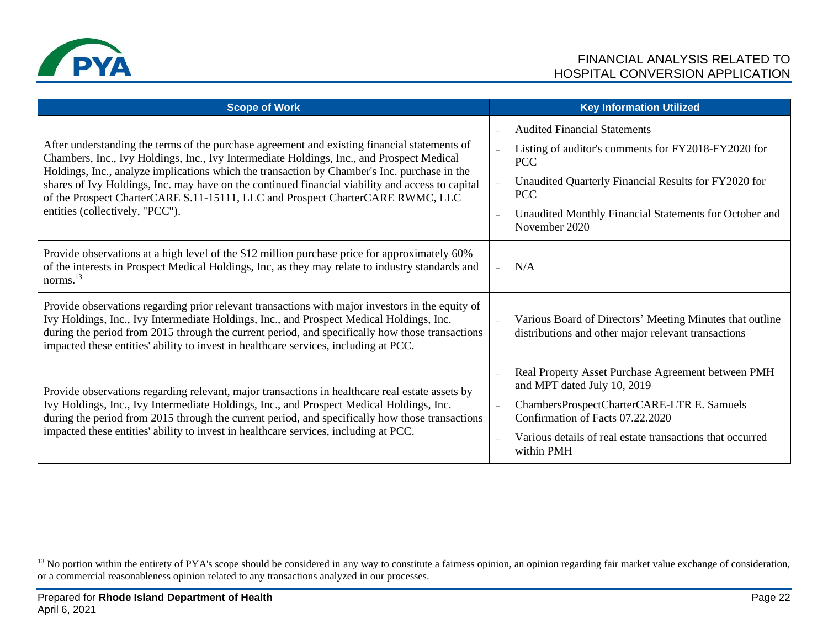

| <b>Scope of Work</b>                                                                                                                                                                                                                                                                                                                                                                                                                                                                                               | <b>Key Information Utilized</b>                                                                                                                                                                                                                           |
|--------------------------------------------------------------------------------------------------------------------------------------------------------------------------------------------------------------------------------------------------------------------------------------------------------------------------------------------------------------------------------------------------------------------------------------------------------------------------------------------------------------------|-----------------------------------------------------------------------------------------------------------------------------------------------------------------------------------------------------------------------------------------------------------|
| After understanding the terms of the purchase agreement and existing financial statements of<br>Chambers, Inc., Ivy Holdings, Inc., Ivy Intermediate Holdings, Inc., and Prospect Medical<br>Holdings, Inc., analyze implications which the transaction by Chamber's Inc. purchase in the<br>shares of Ivy Holdings, Inc. may have on the continued financial viability and access to capital<br>of the Prospect CharterCARE S.11-15111, LLC and Prospect CharterCARE RWMC, LLC<br>entities (collectively, "PCC"). | <b>Audited Financial Statements</b><br>Listing of auditor's comments for FY2018-FY2020 for<br><b>PCC</b><br>Unaudited Quarterly Financial Results for FY2020 for<br><b>PCC</b><br>Unaudited Monthly Financial Statements for October and<br>November 2020 |
| Provide observations at a high level of the \$12 million purchase price for approximately 60%<br>of the interests in Prospect Medical Holdings, Inc, as they may relate to industry standards and<br>norms. <sup>13</sup>                                                                                                                                                                                                                                                                                          | N/A                                                                                                                                                                                                                                                       |
| Provide observations regarding prior relevant transactions with major investors in the equity of<br>Ivy Holdings, Inc., Ivy Intermediate Holdings, Inc., and Prospect Medical Holdings, Inc.<br>during the period from 2015 through the current period, and specifically how those transactions<br>impacted these entities' ability to invest in healthcare services, including at PCC.                                                                                                                            | Various Board of Directors' Meeting Minutes that outline<br>distributions and other major relevant transactions                                                                                                                                           |
| Provide observations regarding relevant, major transactions in healthcare real estate assets by<br>Ivy Holdings, Inc., Ivy Intermediate Holdings, Inc., and Prospect Medical Holdings, Inc.<br>during the period from 2015 through the current period, and specifically how those transactions<br>impacted these entities' ability to invest in healthcare services, including at PCC.                                                                                                                             | Real Property Asset Purchase Agreement between PMH<br>and MPT dated July 10, 2019<br>ChambersProspectCharterCARE-LTR E. Samuels<br>Confirmation of Facts 07.22.2020<br>Various details of real estate transactions that occurred<br>within PMH            |

<sup>&</sup>lt;sup>13</sup> No portion within the entirety of PYA's scope should be considered in any way to constitute a fairness opinion, an opinion regarding fair market value exchange of consideration, or a commercial reasonableness opinion related to any transactions analyzed in our processes.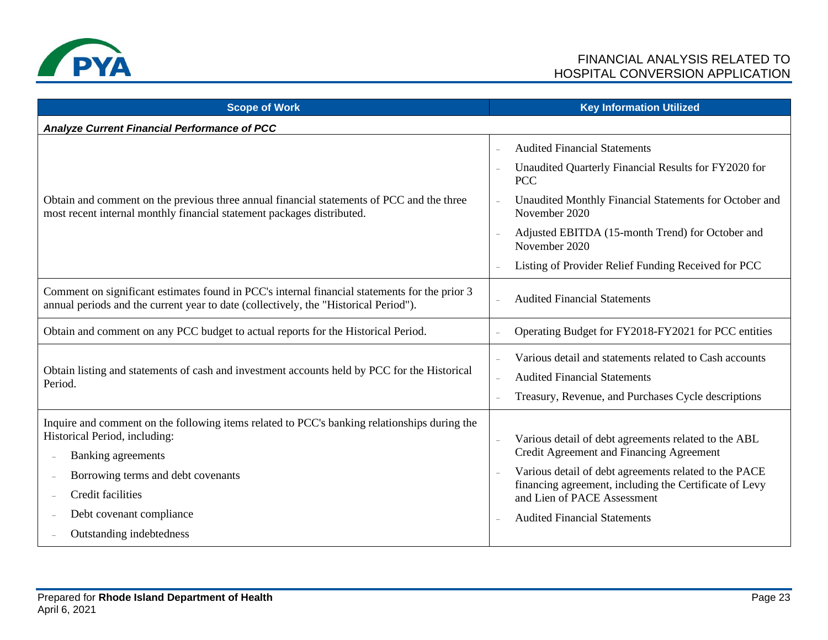

| <b>Scope of Work</b>                                                                                                                                                                                                                       | <b>Key Information Utilized</b>                                                                                                                                                                                                                                                                             |
|--------------------------------------------------------------------------------------------------------------------------------------------------------------------------------------------------------------------------------------------|-------------------------------------------------------------------------------------------------------------------------------------------------------------------------------------------------------------------------------------------------------------------------------------------------------------|
| <b>Analyze Current Financial Performance of PCC</b>                                                                                                                                                                                        |                                                                                                                                                                                                                                                                                                             |
| Obtain and comment on the previous three annual financial statements of PCC and the three<br>most recent internal monthly financial statement packages distributed.                                                                        | <b>Audited Financial Statements</b><br>$\equiv$<br>Unaudited Quarterly Financial Results for FY2020 for<br><b>PCC</b>                                                                                                                                                                                       |
|                                                                                                                                                                                                                                            | Unaudited Monthly Financial Statements for October and<br>November 2020                                                                                                                                                                                                                                     |
|                                                                                                                                                                                                                                            | Adjusted EBITDA (15-month Trend) for October and<br>November 2020                                                                                                                                                                                                                                           |
|                                                                                                                                                                                                                                            | Listing of Provider Relief Funding Received for PCC                                                                                                                                                                                                                                                         |
| Comment on significant estimates found in PCC's internal financial statements for the prior 3<br>annual periods and the current year to date (collectively, the "Historical Period").                                                      | <b>Audited Financial Statements</b>                                                                                                                                                                                                                                                                         |
| Obtain and comment on any PCC budget to actual reports for the Historical Period.                                                                                                                                                          | Operating Budget for FY2018-FY2021 for PCC entities                                                                                                                                                                                                                                                         |
| Obtain listing and statements of cash and investment accounts held by PCC for the Historical<br>Period.                                                                                                                                    | Various detail and statements related to Cash accounts<br><b>Audited Financial Statements</b><br>Treasury, Revenue, and Purchases Cycle descriptions                                                                                                                                                        |
| Inquire and comment on the following items related to PCC's banking relationships during the<br>Historical Period, including:<br>Banking agreements<br>Borrowing terms and debt covenants<br>Credit facilities<br>Debt covenant compliance | Various detail of debt agreements related to the ABL<br>Credit Agreement and Financing Agreement<br>Various detail of debt agreements related to the PACE<br>$\overline{a}$<br>financing agreement, including the Certificate of Levy<br>and Lien of PACE Assessment<br><b>Audited Financial Statements</b> |
| Outstanding indebtedness                                                                                                                                                                                                                   |                                                                                                                                                                                                                                                                                                             |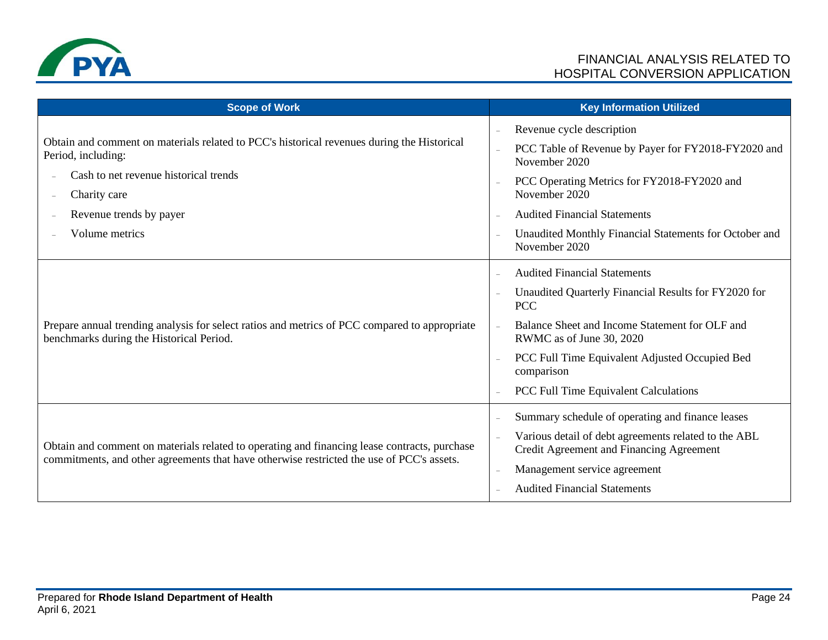

| <b>Scope of Work</b>                                                                                                                                                                      |                | <b>Key Information Utilized</b>                                                                  |
|-------------------------------------------------------------------------------------------------------------------------------------------------------------------------------------------|----------------|--------------------------------------------------------------------------------------------------|
| Obtain and comment on materials related to PCC's historical revenues during the Historical<br>Period, including:                                                                          | $\equiv$       | Revenue cycle description                                                                        |
|                                                                                                                                                                                           |                | PCC Table of Revenue by Payer for FY2018-FY2020 and<br>November 2020                             |
| Cash to net revenue historical trends<br>Charity care                                                                                                                                     |                | PCC Operating Metrics for FY2018-FY2020 and<br>November 2020                                     |
| Revenue trends by payer                                                                                                                                                                   |                | <b>Audited Financial Statements</b>                                                              |
| Volume metrics                                                                                                                                                                            |                | Unaudited Monthly Financial Statements for October and<br>November 2020                          |
| Prepare annual trending analysis for select ratios and metrics of PCC compared to appropriate<br>benchmarks during the Historical Period.                                                 | $\equiv$       | <b>Audited Financial Statements</b>                                                              |
|                                                                                                                                                                                           | $\frac{1}{2}$  | Unaudited Quarterly Financial Results for FY2020 for<br><b>PCC</b>                               |
|                                                                                                                                                                                           |                | Balance Sheet and Income Statement for OLF and<br>RWMC as of June 30, 2020                       |
|                                                                                                                                                                                           | $\equiv$       | PCC Full Time Equivalent Adjusted Occupied Bed<br>comparison                                     |
|                                                                                                                                                                                           |                | PCC Full Time Equivalent Calculations                                                            |
| Obtain and comment on materials related to operating and financing lease contracts, purchase<br>commitments, and other agreements that have otherwise restricted the use of PCC's assets. |                | Summary schedule of operating and finance leases                                                 |
|                                                                                                                                                                                           | $\overline{a}$ | Various detail of debt agreements related to the ABL<br>Credit Agreement and Financing Agreement |
|                                                                                                                                                                                           | $\overline{a}$ | Management service agreement                                                                     |
|                                                                                                                                                                                           |                | <b>Audited Financial Statements</b>                                                              |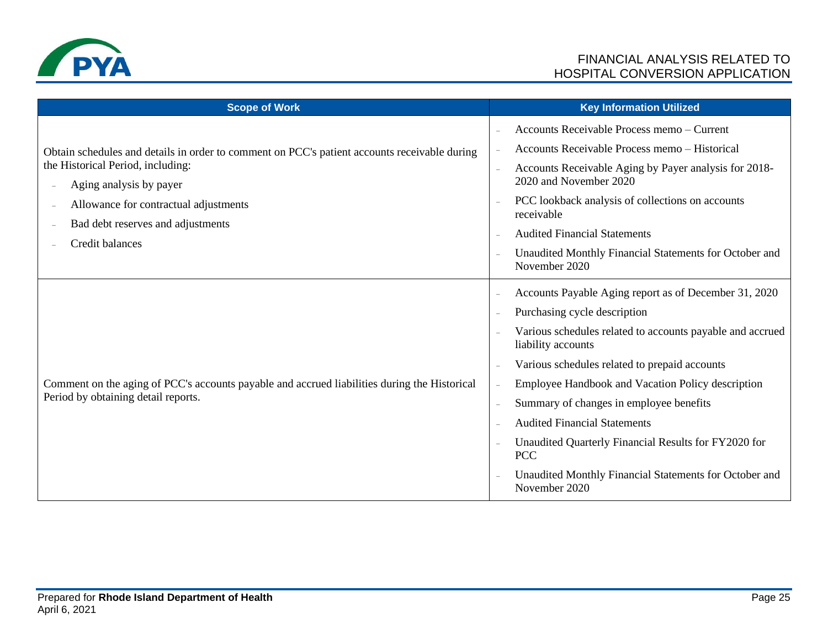

| <b>Scope of Work</b>                                                                                                                |                          | <b>Key Information Utilized</b>                                                 |
|-------------------------------------------------------------------------------------------------------------------------------------|--------------------------|---------------------------------------------------------------------------------|
| Obtain schedules and details in order to comment on PCC's patient accounts receivable during<br>the Historical Period, including:   | $\equiv$                 | Accounts Receivable Process memo - Current                                      |
|                                                                                                                                     |                          | Accounts Receivable Process memo - Historical                                   |
|                                                                                                                                     | $\overline{\phantom{a}}$ | Accounts Receivable Aging by Payer analysis for 2018-                           |
| Aging analysis by payer                                                                                                             |                          | 2020 and November 2020                                                          |
| Allowance for contractual adjustments<br>$\overline{a}$<br>Bad debt reserves and adjustments<br>Credit balances                     |                          | PCC lookback analysis of collections on accounts<br>receivable                  |
|                                                                                                                                     |                          | <b>Audited Financial Statements</b>                                             |
|                                                                                                                                     | $\overline{a}$           | Unaudited Monthly Financial Statements for October and<br>November 2020         |
| Comment on the aging of PCC's accounts payable and accrued liabilities during the Historical<br>Period by obtaining detail reports. | $\overline{\phantom{a}}$ | Accounts Payable Aging report as of December 31, 2020                           |
|                                                                                                                                     | $\overline{\phantom{a}}$ | Purchasing cycle description                                                    |
|                                                                                                                                     |                          | Various schedules related to accounts payable and accrued<br>liability accounts |
|                                                                                                                                     | $\overline{\phantom{m}}$ | Various schedules related to prepaid accounts                                   |
|                                                                                                                                     | $\equiv$                 | Employee Handbook and Vacation Policy description                               |
|                                                                                                                                     | $\overline{\phantom{a}}$ | Summary of changes in employee benefits                                         |
|                                                                                                                                     | $\sim$                   | <b>Audited Financial Statements</b>                                             |
|                                                                                                                                     |                          | Unaudited Quarterly Financial Results for FY2020 for<br><b>PCC</b>              |
|                                                                                                                                     |                          | Unaudited Monthly Financial Statements for October and<br>November 2020         |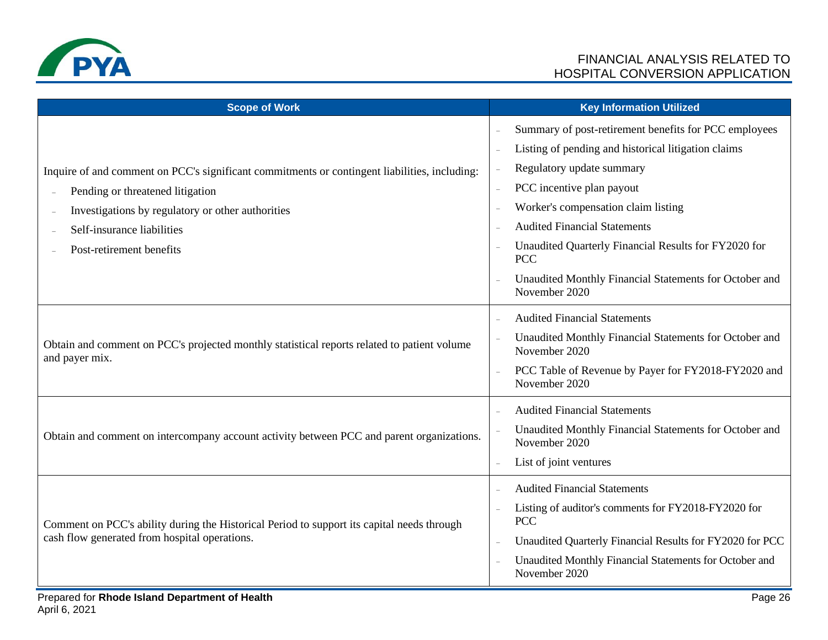

| <b>Scope of Work</b>                                                                                                                                                                                                 | <b>Key Information Utilized</b>                                                                                                                                                                                                                      |
|----------------------------------------------------------------------------------------------------------------------------------------------------------------------------------------------------------------------|------------------------------------------------------------------------------------------------------------------------------------------------------------------------------------------------------------------------------------------------------|
| Inquire of and comment on PCC's significant commitments or contingent liabilities, including:<br>Pending or threatened litigation<br>Investigations by regulatory or other authorities<br>Self-insurance liabilities | Summary of post-retirement benefits for PCC employees<br>Listing of pending and historical litigation claims<br>Regulatory update summary<br>PCC incentive plan payout<br>Worker's compensation claim listing<br><b>Audited Financial Statements</b> |
| Post-retirement benefits                                                                                                                                                                                             | Unaudited Quarterly Financial Results for FY2020 for<br><b>PCC</b><br>Unaudited Monthly Financial Statements for October and<br>November 2020                                                                                                        |
| Obtain and comment on PCC's projected monthly statistical reports related to patient volume<br>and payer mix.                                                                                                        | <b>Audited Financial Statements</b><br>Unaudited Monthly Financial Statements for October and<br>November 2020<br>PCC Table of Revenue by Payer for FY2018-FY2020 and<br>$\overline{a}$<br>November 2020                                             |
| Obtain and comment on intercompany account activity between PCC and parent organizations.                                                                                                                            | <b>Audited Financial Statements</b><br>Unaudited Monthly Financial Statements for October and<br>November 2020<br>List of joint ventures                                                                                                             |
| Comment on PCC's ability during the Historical Period to support its capital needs through<br>cash flow generated from hospital operations.                                                                          | <b>Audited Financial Statements</b><br>Listing of auditor's comments for FY2018-FY2020 for<br><b>PCC</b><br>Unaudited Quarterly Financial Results for FY2020 for PCC<br>Unaudited Monthly Financial Statements for October and<br>November 2020      |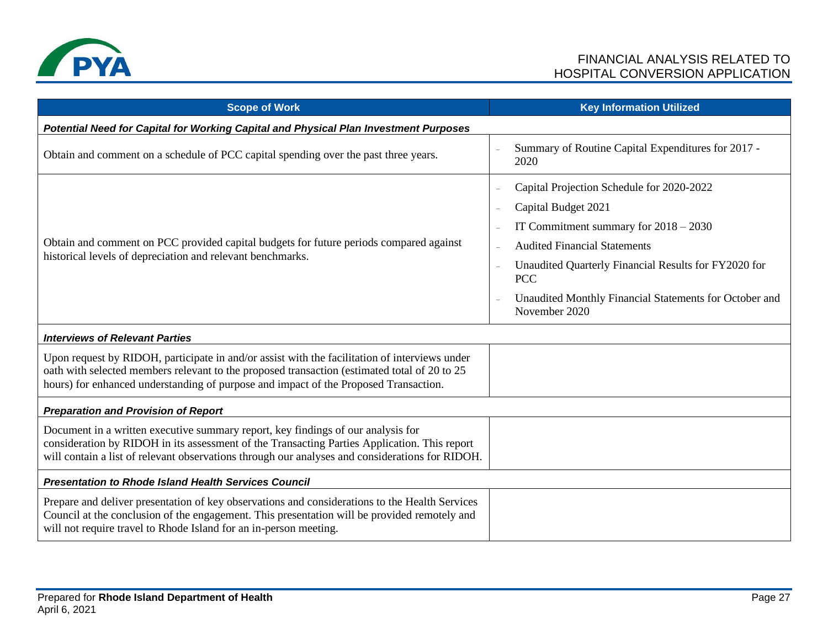

| <b>Scope of Work</b>                                                                                                                                                                                                                                                                  | <b>Key Information Utilized</b>                                                                                                                                                                                                                                                                     |  |
|---------------------------------------------------------------------------------------------------------------------------------------------------------------------------------------------------------------------------------------------------------------------------------------|-----------------------------------------------------------------------------------------------------------------------------------------------------------------------------------------------------------------------------------------------------------------------------------------------------|--|
| Potential Need for Capital for Working Capital and Physical Plan Investment Purposes                                                                                                                                                                                                  |                                                                                                                                                                                                                                                                                                     |  |
| Obtain and comment on a schedule of PCC capital spending over the past three years.                                                                                                                                                                                                   | Summary of Routine Capital Expenditures for 2017 -<br>2020                                                                                                                                                                                                                                          |  |
| Obtain and comment on PCC provided capital budgets for future periods compared against<br>historical levels of depreciation and relevant benchmarks.                                                                                                                                  | Capital Projection Schedule for 2020-2022<br>Capital Budget 2021<br>IT Commitment summary for $2018 - 2030$<br><b>Audited Financial Statements</b><br>Unaudited Quarterly Financial Results for FY2020 for<br><b>PCC</b><br>Unaudited Monthly Financial Statements for October and<br>November 2020 |  |
| <b>Interviews of Relevant Parties</b>                                                                                                                                                                                                                                                 |                                                                                                                                                                                                                                                                                                     |  |
| Upon request by RIDOH, participate in and/or assist with the facilitation of interviews under<br>oath with selected members relevant to the proposed transaction (estimated total of 20 to 25<br>hours) for enhanced understanding of purpose and impact of the Proposed Transaction. |                                                                                                                                                                                                                                                                                                     |  |
| <b>Preparation and Provision of Report</b>                                                                                                                                                                                                                                            |                                                                                                                                                                                                                                                                                                     |  |
| Document in a written executive summary report, key findings of our analysis for<br>consideration by RIDOH in its assessment of the Transacting Parties Application. This report<br>will contain a list of relevant observations through our analyses and considerations for RIDOH.   |                                                                                                                                                                                                                                                                                                     |  |
| <b>Presentation to Rhode Island Health Services Council</b>                                                                                                                                                                                                                           |                                                                                                                                                                                                                                                                                                     |  |
| Prepare and deliver presentation of key observations and considerations to the Health Services<br>Council at the conclusion of the engagement. This presentation will be provided remotely and<br>will not require travel to Rhode Island for an in-person meeting.                   |                                                                                                                                                                                                                                                                                                     |  |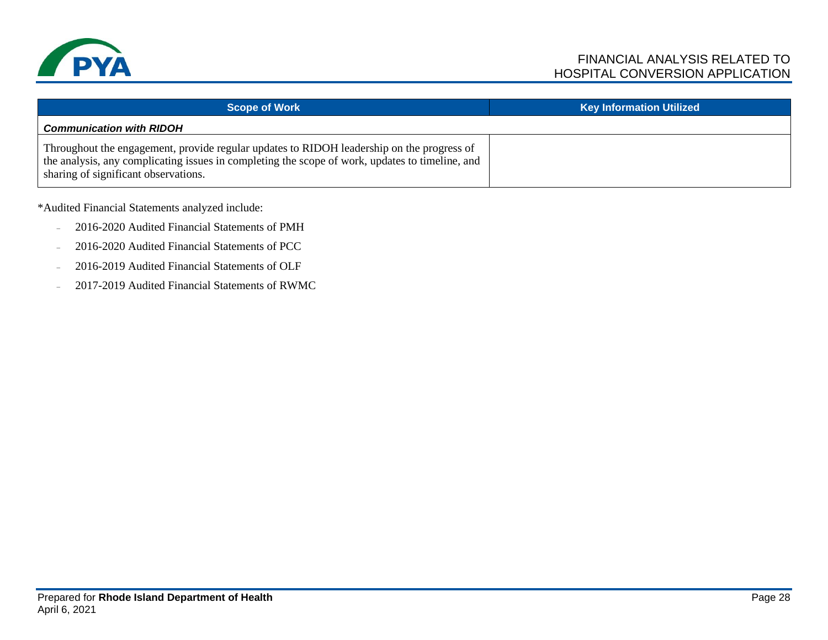

| <b>Scope of Work</b>                                                                                                                                                                                                                 | <b>Key Information Utilized</b> |
|--------------------------------------------------------------------------------------------------------------------------------------------------------------------------------------------------------------------------------------|---------------------------------|
| <b>Communication with RIDOH</b>                                                                                                                                                                                                      |                                 |
| Throughout the engagement, provide regular updates to RIDOH leadership on the progress of<br>the analysis, any complicating issues in completing the scope of work, updates to timeline, and<br>sharing of significant observations. |                                 |

\*Audited Financial Statements analyzed include:

- 2016-2020 Audited Financial Statements of PMH
- 2016-2020 Audited Financial Statements of PCC
- 2016-2019 Audited Financial Statements of OLF
- 2017-2019 Audited Financial Statements of RWMC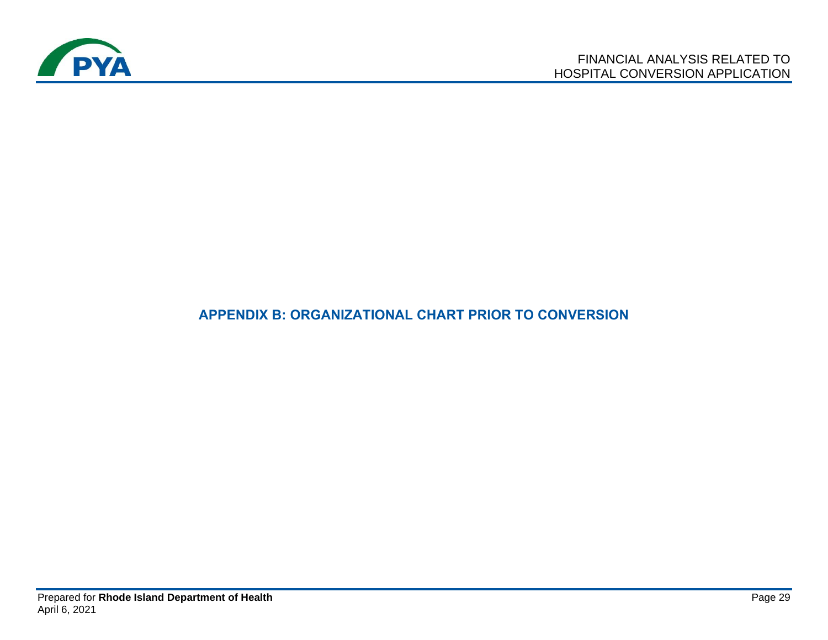

## **APPENDIX B: ORGANIZATIONAL CHART PRIOR TO CONVERSION**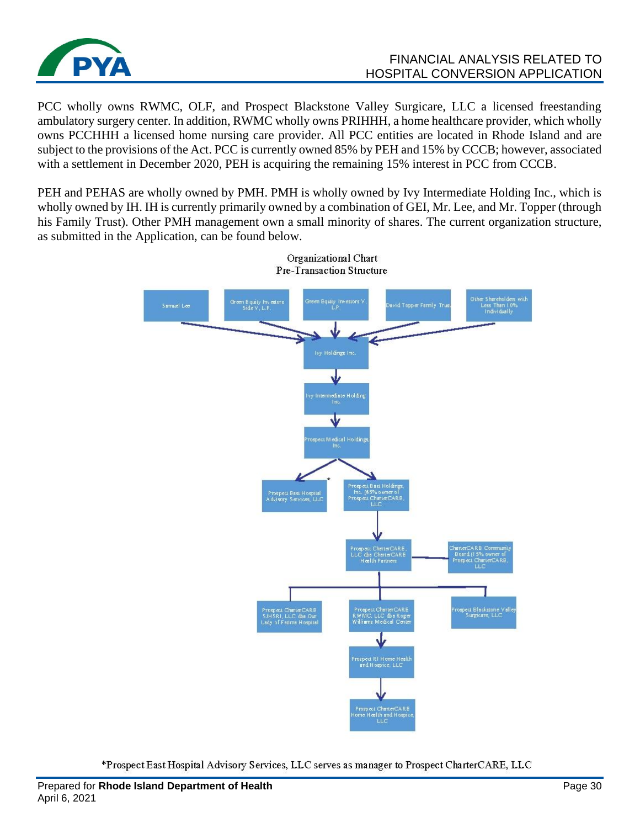

### FINANCIAL ANALYSIS RELATED TO HOSPITAL CONVERSION APPLICATION

PCC wholly owns RWMC, OLF, and Prospect Blackstone Valley Surgicare, LLC a licensed freestanding ambulatory surgery center. In addition, RWMC wholly owns PRIHHH, a home healthcare provider, which wholly owns PCCHHH a licensed home nursing care provider. All PCC entities are located in Rhode Island and are subject to the provisions of the Act. PCC is currently owned 85% by PEH and 15% by CCCB; however, associated with a settlement in December 2020, PEH is acquiring the remaining 15% interest in PCC from CCCB.

PEH and PEHAS are wholly owned by PMH. PMH is wholly owned by Ivy Intermediate Holding Inc., which is wholly owned by IH. IH is currently primarily owned by a combination of GEI, Mr. Lee, and Mr. Topper (through his Family Trust). Other PMH management own a small minority of shares. The current organization structure, as submitted in the Application, can be found below.



Organizational Chart Pre-Transaction Structure

\*Prospect East Hospital Advisory Services, LLC serves as manager to Prospect CharterCARE, LLC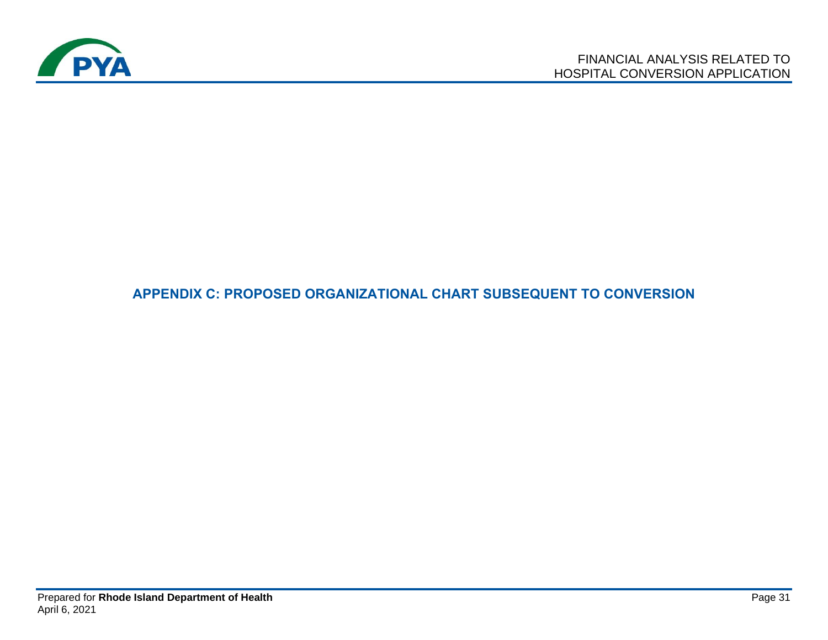

## **APPENDIX C: PROPOSED ORGANIZATIONAL CHART SUBSEQUENT TO CONVERSION**